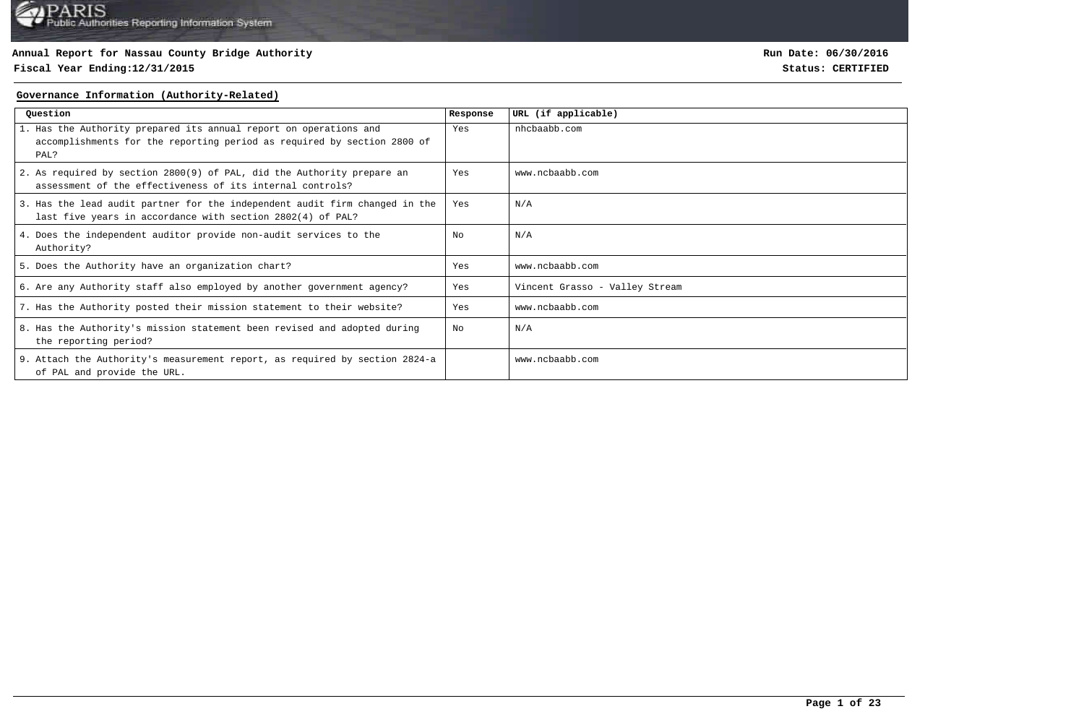# **Fiscal Year Ending:12/31/2015 Status: CERTIFIED**

**Run Date: 06/30/2016**

### **Governance Information (Authority-Related)**

| Question                                                                                                                                             | Response | URL (if applicable)            |
|------------------------------------------------------------------------------------------------------------------------------------------------------|----------|--------------------------------|
| 1. Has the Authority prepared its annual report on operations and<br>accomplishments for the reporting period as required by section 2800 of<br>PAL? | Yes      | nhcbaabb.com                   |
| 2. As required by section 2800(9) of PAL, did the Authority prepare an<br>assessment of the effectiveness of its internal controls?                  | Yes      | www.ncbaabb.com                |
| 3. Has the lead audit partner for the independent audit firm changed in the<br>last five years in accordance with section 2802(4) of PAL?            | Yes      | N/A                            |
| 4. Does the independent auditor provide non-audit services to the<br>Authority?                                                                      | No       | N/A                            |
| 5. Does the Authority have an organization chart?                                                                                                    | Yes      | www.ncbaabb.com                |
| 6. Are any Authority staff also employed by another government agency?                                                                               | Yes      | Vincent Grasso - Valley Stream |
| 7. Has the Authority posted their mission statement to their website?                                                                                | Yes      | www.ncbaabb.com                |
| 8. Has the Authority's mission statement been revised and adopted during<br>the reporting period?                                                    | N∩       | N/A                            |
| 9. Attach the Authority's measurement report, as required by section 2824-a<br>of PAL and provide the URL.                                           |          | www.ncbaabb.com                |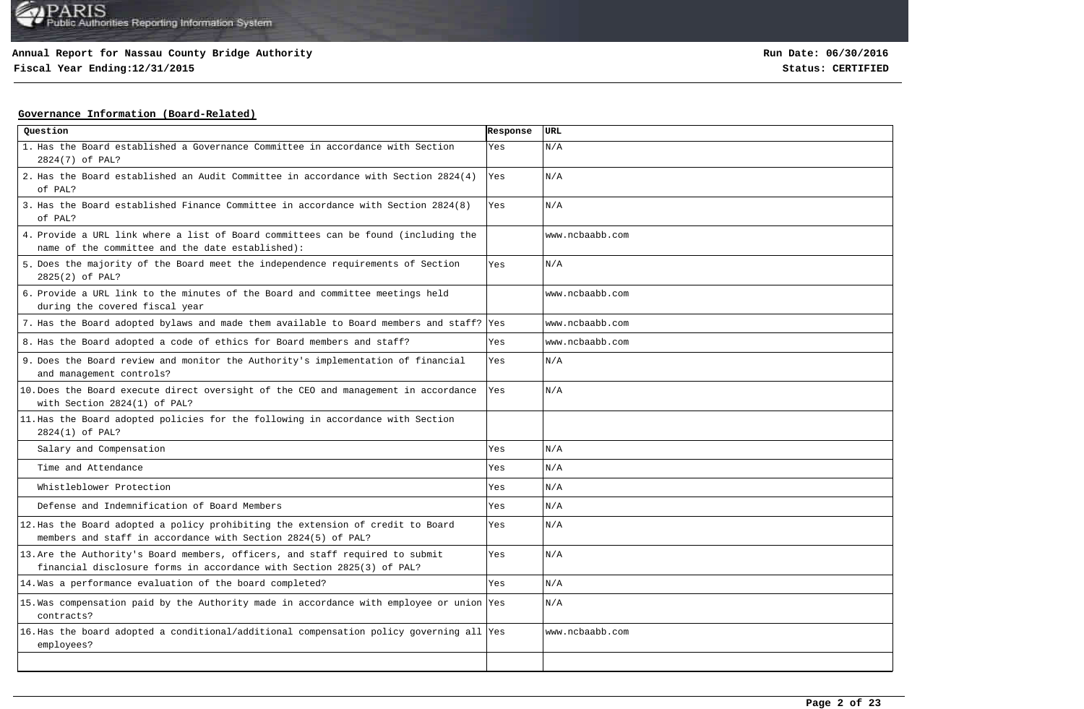**Fiscal Year Ending:12/31/2015 Status: CERTIFIED**

## **Governance Information (Board-Related)**

| Question                                                                                                                                               | Response | <b>URL</b>      |
|--------------------------------------------------------------------------------------------------------------------------------------------------------|----------|-----------------|
| 1. Has the Board established a Governance Committee in accordance with Section<br>2824(7) of PAL?                                                      | Yes      | N/A             |
| 2. Has the Board established an Audit Committee in accordance with Section 2824(4)<br>of PAL?                                                          | Yes      | N/A             |
| 3. Has the Board established Finance Committee in accordance with Section 2824(8)<br>of PAL?                                                           | Yes      | N/A             |
| 4. Provide a URL link where a list of Board committees can be found (including the<br>name of the committee and the date established):                 |          | www.ncbaabb.com |
| 5. Does the majority of the Board meet the independence requirements of Section<br>2825(2) of PAL?                                                     | Yes      | N/A             |
| 6. Provide a URL link to the minutes of the Board and committee meetings held<br>during the covered fiscal year                                        |          | www.ncbaabb.com |
| 7. Has the Board adopted bylaws and made them available to Board members and staff? Yes                                                                |          | www.ncbaabb.com |
| 8. Has the Board adopted a code of ethics for Board members and staff?                                                                                 | Yes      | www.ncbaabb.com |
| 9. Does the Board review and monitor the Authority's implementation of financial<br>and management controls?                                           | Yes      | N/A             |
| 10. Does the Board execute direct oversight of the CEO and management in accordance<br>with Section 2824(1) of PAL?                                    | Yes      | N/A             |
| 11. Has the Board adopted policies for the following in accordance with Section<br>2824(1) of PAL?                                                     |          |                 |
| Salary and Compensation                                                                                                                                | Yes      | N/A             |
| Time and Attendance                                                                                                                                    | Yes      | N/A             |
| Whistleblower Protection                                                                                                                               | Yes      | N/A             |
| Defense and Indemnification of Board Members                                                                                                           | Yes      | N/A             |
| 12. Has the Board adopted a policy prohibiting the extension of credit to Board<br>members and staff in accordance with Section 2824(5) of PAL?        | Yes      | N/A             |
| 13. Are the Authority's Board members, officers, and staff required to submit<br>financial disclosure forms in accordance with Section 2825(3) of PAL? | Yes      | N/A             |
| 14. Was a performance evaluation of the board completed?                                                                                               | Yes      | N/A             |
| 15. Was compensation paid by the Authority made in accordance with employee or union Yes<br>contracts?                                                 |          | N/A             |
| 16. Has the board adopted a conditional/additional compensation policy governing all Yes<br>employees?                                                 |          | www.ncbaabb.com |
|                                                                                                                                                        |          |                 |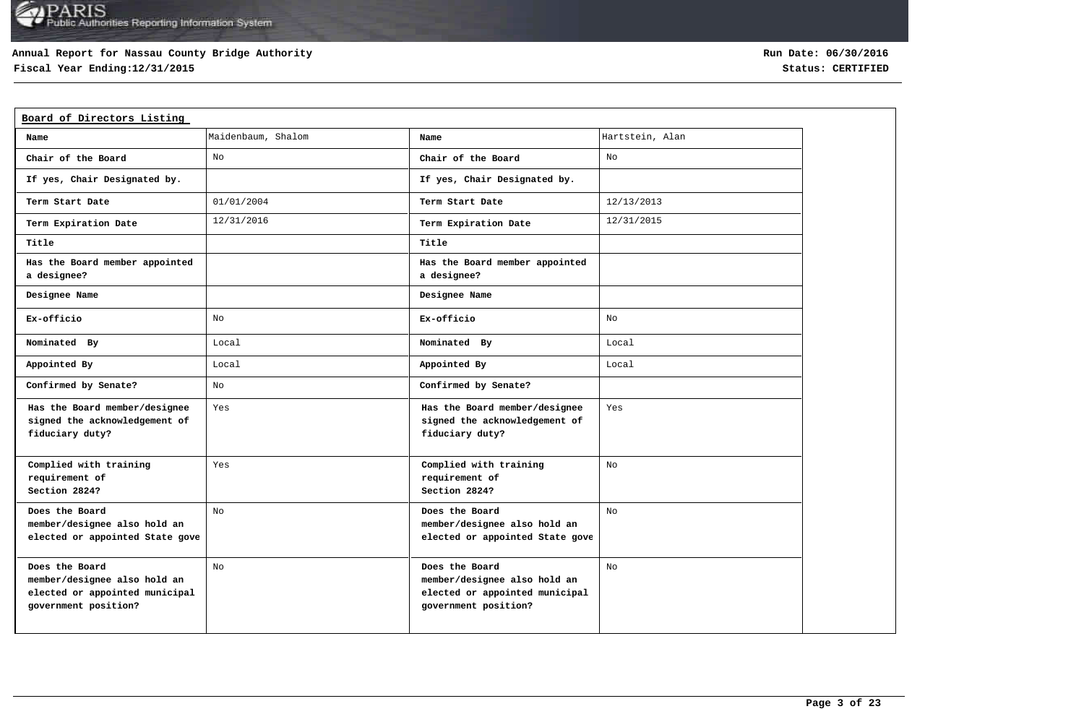## **Annual Report for Nassau County Bridge Authority**

**Fiscal Year Ending:12/31/2015 Status: CERTIFIED**

| Board of Directors Listing                                                                               |                    |                                                                                                          |                 |
|----------------------------------------------------------------------------------------------------------|--------------------|----------------------------------------------------------------------------------------------------------|-----------------|
| Name                                                                                                     | Maidenbaum, Shalom | Name                                                                                                     | Hartstein, Alan |
| Chair of the Board                                                                                       | No                 | Chair of the Board                                                                                       | No              |
| If yes, Chair Designated by.                                                                             |                    | If yes, Chair Designated by.                                                                             |                 |
| Term Start Date                                                                                          | 01/01/2004         | Term Start Date                                                                                          | 12/13/2013      |
| Term Expiration Date                                                                                     | 12/31/2016         | Term Expiration Date                                                                                     | 12/31/2015      |
| Title                                                                                                    |                    | Title                                                                                                    |                 |
| Has the Board member appointed<br>a designee?                                                            |                    | Has the Board member appointed<br>a designee?                                                            |                 |
| Designee Name                                                                                            |                    | Designee Name                                                                                            |                 |
| Ex-officio                                                                                               | No                 | Ex-officio                                                                                               | No              |
| Nominated By                                                                                             | Local              | Nominated By                                                                                             | Local           |
| Appointed By                                                                                             | Local              | Appointed By                                                                                             | Local           |
| Confirmed by Senate?                                                                                     | No                 | Confirmed by Senate?                                                                                     |                 |
| Has the Board member/designee<br>signed the acknowledgement of<br>fiduciary duty?                        | Yes                | Has the Board member/designee<br>signed the acknowledgement of<br>fiduciary duty?                        | Yes             |
| Complied with training<br>requirement of<br>Section 2824?                                                | Yes                | Complied with training<br>requirement of<br>Section 2824?                                                | No              |
| Does the Board<br>member/designee also hold an<br>elected or appointed State gove                        | No                 | Does the Board<br>member/designee also hold an<br>elected or appointed State gove                        | No              |
| Does the Board<br>member/designee also hold an<br>elected or appointed municipal<br>government position? | No                 | Does the Board<br>member/designee also hold an<br>elected or appointed municipal<br>government position? | No              |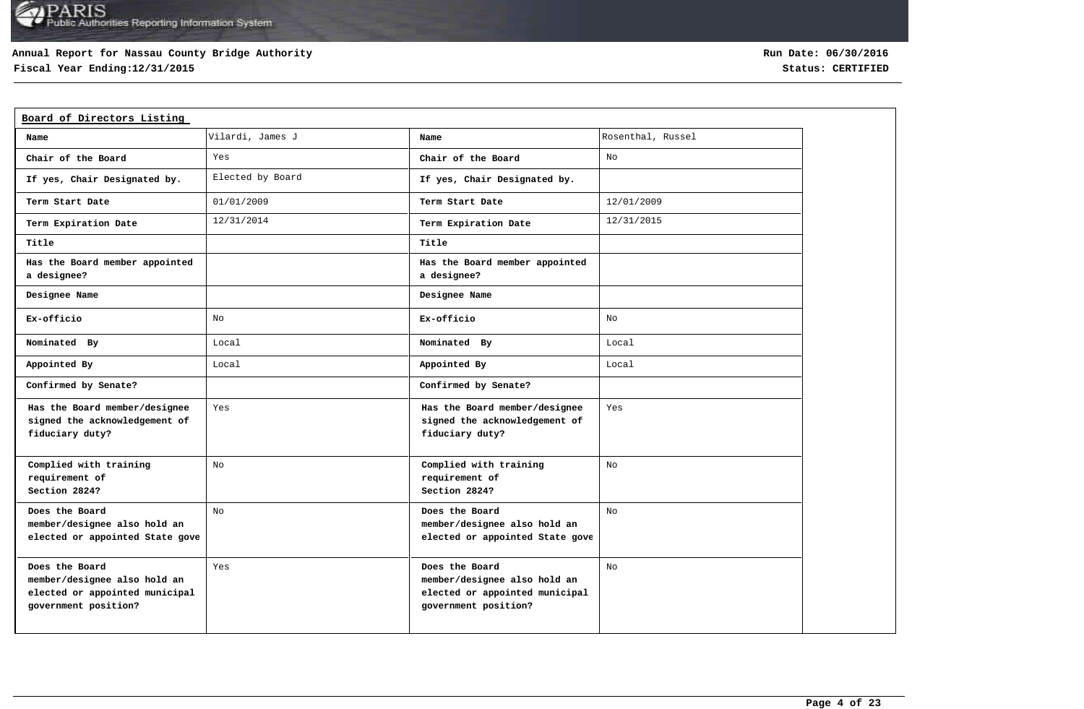## **Annual Report for Nassau County Bridge Authority**

**Fiscal Year Ending:12/31/2015 Status: CERTIFIED**

| Board of Directors Listing                                                                               |                  |                                                                                                          |                   |
|----------------------------------------------------------------------------------------------------------|------------------|----------------------------------------------------------------------------------------------------------|-------------------|
| Name                                                                                                     | Vilardi, James J | Name                                                                                                     | Rosenthal, Russel |
| Chair of the Board                                                                                       | Yes              | Chair of the Board                                                                                       | No                |
| If yes, Chair Designated by.                                                                             | Elected by Board | If yes, Chair Designated by.                                                                             |                   |
| Term Start Date                                                                                          | 01/01/2009       | Term Start Date                                                                                          | 12/01/2009        |
| Term Expiration Date                                                                                     | 12/31/2014       | Term Expiration Date                                                                                     | 12/31/2015        |
| Title                                                                                                    |                  | Title                                                                                                    |                   |
| Has the Board member appointed<br>a designee?                                                            |                  | Has the Board member appointed<br>a designee?                                                            |                   |
| Designee Name                                                                                            |                  | Designee Name                                                                                            |                   |
| Ex-officio                                                                                               | No               | Ex-officio                                                                                               | No                |
| Nominated By                                                                                             | Local            | Nominated By                                                                                             | Local             |
| Appointed By                                                                                             | Local            | Appointed By                                                                                             | Local             |
| Confirmed by Senate?                                                                                     |                  | Confirmed by Senate?                                                                                     |                   |
| Has the Board member/designee<br>signed the acknowledgement of<br>fiduciary duty?                        | Yes              | Has the Board member/designee<br>signed the acknowledgement of<br>fiduciary duty?                        | Yes               |
| Complied with training<br>requirement of<br>Section 2824?                                                | No               | Complied with training<br>requirement of<br>Section 2824?                                                | No                |
| Does the Board<br>member/designee also hold an<br>elected or appointed State gove                        | No               | Does the Board<br>member/designee also hold an<br>elected or appointed State gove                        | No                |
| Does the Board<br>member/designee also hold an<br>elected or appointed municipal<br>government position? | Yes              | Does the Board<br>member/designee also hold an<br>elected or appointed municipal<br>government position? | No                |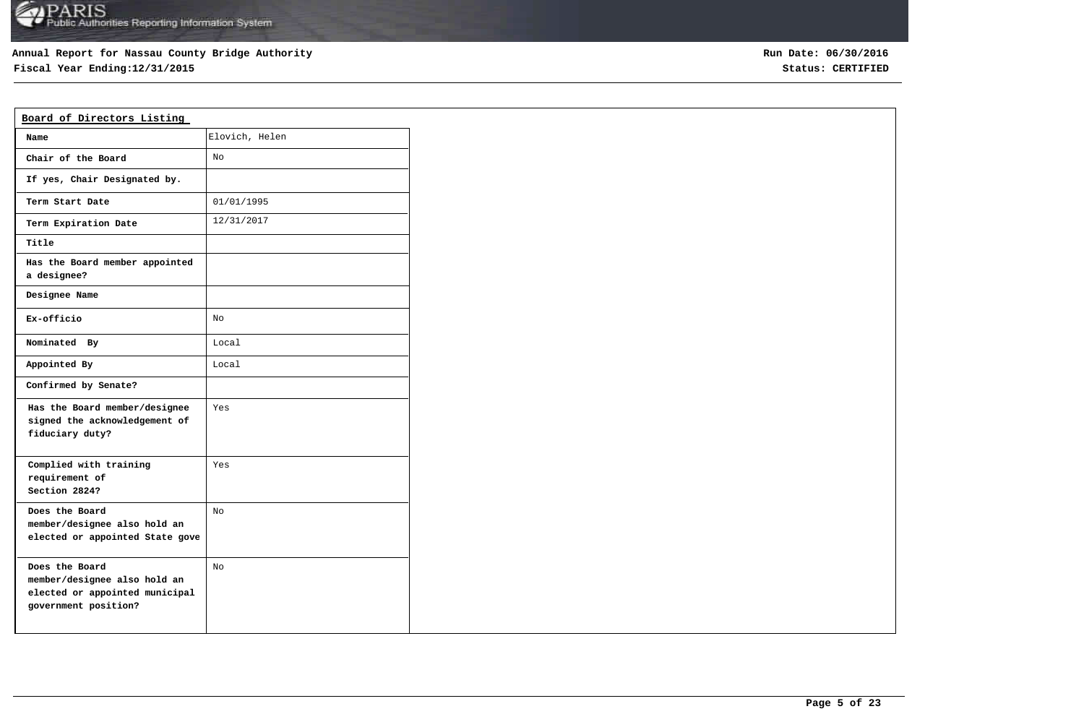## **Annual Report for Nassau County Bridge Authority**

**Fiscal Year Ending:12/31/2015 Status: CERTIFIED**

**Run Date: 06/30/2016**

| Board of Directors Listing                                                                               |                |
|----------------------------------------------------------------------------------------------------------|----------------|
| Name                                                                                                     | Elovich, Helen |
| Chair of the Board                                                                                       | No             |
| If yes, Chair Designated by.                                                                             |                |
| Term Start Date                                                                                          | 01/01/1995     |
| Term Expiration Date                                                                                     | 12/31/2017     |
| Title                                                                                                    |                |
| Has the Board member appointed<br>a designee?                                                            |                |
| Designee Name                                                                                            |                |
| Ex-officio                                                                                               | No             |
| Nominated By                                                                                             | Local          |
| Appointed By                                                                                             | Local          |
| Confirmed by Senate?                                                                                     |                |
| Has the Board member/designee<br>signed the acknowledgement of<br>fiduciary duty?                        | Yes            |
| Complied with training<br>requirement of<br>Section 2824?                                                | Yes            |
| Does the Board<br>member/designee also hold an<br>elected or appointed State gove                        | No             |
| Does the Board<br>member/designee also hold an<br>elected or appointed municipal<br>government position? | No             |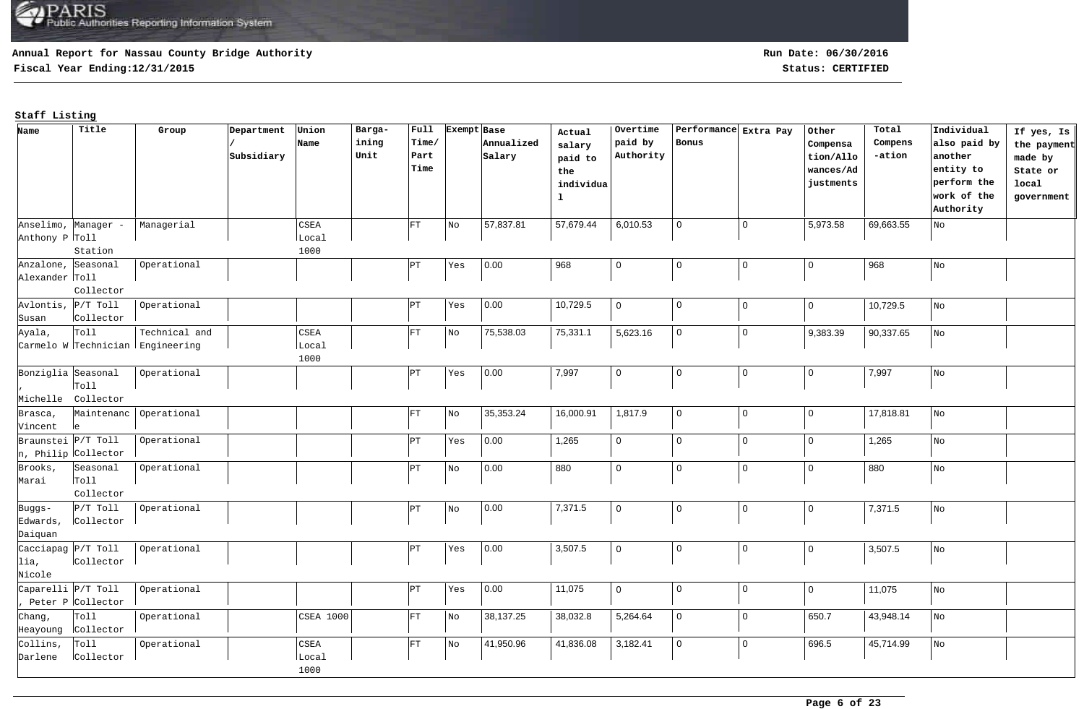## **Annual Report for Nassau County Bridge Authority**

**Fiscal Year Ending:12/31/2015 Status: CERTIFIED**

| Name                 | Title                      | Group                            | Department | Union            | Barga- | Full           |     | Exempt Base | Actual       | Overtime       | Performance Extra Pay |                | Other          | Total     | Individual     | If yes, Is  |
|----------------------|----------------------------|----------------------------------|------------|------------------|--------|----------------|-----|-------------|--------------|----------------|-----------------------|----------------|----------------|-----------|----------------|-------------|
|                      |                            |                                  |            | Name             | ining  | Time/          |     | Annualized  | salary       | paid by        | Bonus                 |                | Compensa       | Compens   | also paid by   | the payment |
|                      |                            |                                  | Subsidiary |                  | Unit   | Part           |     | Salary      | paid to      | Authority      |                       |                | tion/Allo      | -ation    | another        | made by     |
|                      |                            |                                  |            |                  |        | Time           |     |             | the          |                |                       |                | wances/Ad      |           | entity to      | State or    |
|                      |                            |                                  |            |                  |        |                |     |             | individua    |                |                       |                | justments      |           | perform the    | local       |
|                      |                            |                                  |            |                  |        |                |     |             | $\mathbf{1}$ |                |                       |                |                |           | work of the    | government  |
|                      |                            |                                  |            |                  |        |                |     |             |              |                |                       |                |                |           | Authority      |             |
|                      | Anselimo, Manager -        | Managerial                       |            | CSEA             |        | FT             | No  | 57,837.81   | 57,679.44    | 6,010.53       | $\mathbf 0$           | $\mathbf 0$    | 5,973.58       | 69,663.55 | No             |             |
| Anthony P Toll       |                            |                                  |            | Local            |        |                |     |             |              |                |                       |                |                |           |                |             |
|                      | Station                    |                                  |            | 1000             |        |                |     |             |              |                |                       |                |                |           |                |             |
| Anzalone, Seasonal   |                            | Operational                      |            |                  |        | PT <sup></sup> | Yes | 0.00        | 968          | $\mathbf 0$    | $\pmb{0}$             | $\mathbf 0$    | $\overline{0}$ | 968       | $\rm\,N\rm{O}$ |             |
| Alexander Toll       |                            |                                  |            |                  |        |                |     |             |              |                |                       |                |                |           |                |             |
|                      | Collector                  |                                  |            |                  |        |                |     |             |              |                |                       |                |                |           |                |             |
| Avlontis, $P/T$ Toll |                            | Operational                      |            |                  |        | ÞТ             | Yes | 0.00        | 10,729.5     | $\mathbf 0$    | $\mathbf 0$           | $\mathbf 0$    | $\mathbf{0}$   | 10,729.5  | No             |             |
| Susan                | Collector                  |                                  |            |                  |        |                |     |             |              |                |                       |                |                |           |                |             |
| Ayala,               | Toll                       | Technical and                    |            | $_{\tt CSEA}$    |        | FT             | No  | 75,538.03   | 75,331.1     | 5,623.16       | $\mathbf 0$           | $\mathbf 0$    | 9,383.39       | 90,337.65 | No             |             |
|                      |                            | Carmelo W Technician Engineering |            | Local            |        |                |     |             |              |                |                       |                |                |           |                |             |
|                      |                            |                                  |            | 1000             |        |                |     |             |              |                |                       |                |                |           |                |             |
| Bonziglia Seasonal   |                            | Operational                      |            |                  |        | PT)            | Yes | 0.00        | 7,997        | $\mathbf 0$    | $\mathbf 0$           | $\pmb{0}$      | $\overline{0}$ | 7,997     | No             |             |
|                      | r <sub>ol1</sub>           |                                  |            |                  |        |                |     |             |              |                |                       |                |                |           |                |             |
|                      | Michelle Collector         |                                  |            |                  |        |                |     |             |              |                |                       |                |                |           |                |             |
| Brasca,              | Maintenanc                 | Operational                      |            |                  |        | FT             | No  | 35,353.24   | 16,000.91    | 1,817.9        | $\mathbf 0$           | $\mathbf 0$    | 0              | 17,818.81 | No             |             |
| Vincent              | le                         |                                  |            |                  |        |                |     |             |              |                |                       |                |                |           |                |             |
| Braunstei P/T Toll   |                            | Operational                      |            |                  |        | PT)            | Yes | 0.00        | 1,265        | $\mathbf 0$    | $\mathbf 0$           | $\overline{0}$ | 0              | 1,265     | No             |             |
|                      | n, Philip Collector        |                                  |            |                  |        |                |     |             |              |                |                       |                |                |           |                |             |
| Brooks,              | Seasonal                   | Operational                      |            |                  |        | PT)            | No  | 0.00        | 880          | $\mathbf 0$    | $\Omega$              | $\mathbf 0$    | 0              | 880       | No             |             |
| Marai                | Toll                       |                                  |            |                  |        |                |     |             |              |                |                       |                |                |           |                |             |
|                      | Collector                  |                                  |            |                  |        |                |     |             |              |                |                       |                |                |           |                |             |
| Buggs-               | $P/T$ Toll                 | Operational                      |            |                  |        | PT <sup></sup> | No  | 0.00        | 7,371.5      | $\overline{0}$ | $\mathbf 0$           | $\mathbf 0$    | 0              | 7,371.5   | No             |             |
| Edwards,             | collector                  |                                  |            |                  |        |                |     |             |              |                |                       |                |                |           |                |             |
| Daiquan              |                            |                                  |            |                  |        |                |     |             |              |                |                       |                |                |           |                |             |
| Cacciapag P/T Toll   |                            | Operational                      |            |                  |        | PT)            | Yes | 0.00        | 3,507.5      | $\mathbf 0$    | $\mathbf 0$           | $\pmb{0}$      | 0              | 3,507.5   | No             |             |
| lia,                 | collector                  |                                  |            |                  |        |                |     |             |              |                |                       |                |                |           |                |             |
| Nicole               |                            |                                  |            |                  |        |                |     |             |              |                |                       |                |                |           |                |             |
| Caparelli P/T Toll   |                            | Operational                      |            |                  |        | PT <sup></sup> | Yes | 0.00        | 11,075       | $\mathbf 0$    | $\mathbf 0$           | $\overline{0}$ | 0              | 11,075    | $_{\rm NO}$    |             |
|                      | , Peter P <i>Collector</i> |                                  |            |                  |        |                |     |             |              |                |                       |                |                |           |                |             |
| Chang,               | Toll                       | Operational                      |            | <b>CSEA 1000</b> |        | FT             | No  | 38,137.25   | 38,032.8     | 5,264.64       | $\mathbf 0$           | $\mathbf 0$    | 650.7          | 43,948.14 | No             |             |
| Heayoung             | Collector                  |                                  |            |                  |        |                |     |             |              |                |                       |                |                |           |                |             |
| Collins,             | Toll                       | Operational                      |            | $_{\tt CSEA}$    |        | FT             | No  | 41,950.96   | 41,836.08    | 3,182.41       | $\Omega$              | $\mathbf 0$    | 696.5          | 45,714.99 | No             |             |
| Darlene              | Collector                  |                                  |            | Local            |        |                |     |             |              |                |                       |                |                |           |                |             |
|                      |                            |                                  |            | 1000             |        |                |     |             |              |                |                       |                |                |           |                |             |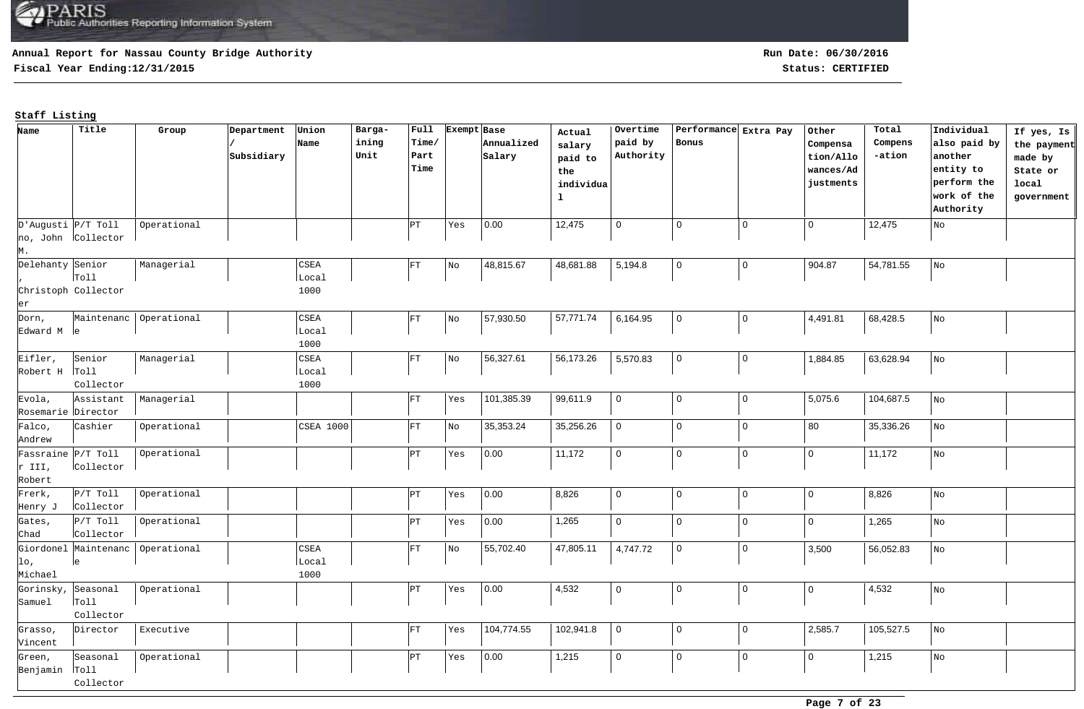## **Annual Report for Nassau County Bridge Authority**

**Fiscal Year Ending:12/31/2015 Status: CERTIFIED**

**Run Date: 06/30/2016**

| Name                    | Title                         | Group                  | Department | Union            | Barga- | $ $ Full  | Exempt Base |            | Actual       | Overtime    |              | Performance Extra Pay | Other          | Total     | Individual   | If yes, Is  |
|-------------------------|-------------------------------|------------------------|------------|------------------|--------|-----------|-------------|------------|--------------|-------------|--------------|-----------------------|----------------|-----------|--------------|-------------|
|                         |                               |                        |            | Name             | ining  | $ $ Time/ |             | Annualized | salary       | paid by     | Bonus        |                       | Compensa       | Compens   | also paid by | the payment |
|                         |                               |                        | Subsidiary |                  | Unit   | Part      |             | Salary     | paid to      | Authority   |              |                       | tion/Allo      | -ation    | another      | made by     |
|                         |                               |                        |            |                  |        | Time      |             |            | ${\tt the}$  |             |              |                       | wances/Ad      |           | entity to    | State or    |
|                         |                               |                        |            |                  |        |           |             |            | individua    |             |              |                       | justments      |           | perform the  | local       |
|                         |                               |                        |            |                  |        |           |             |            | $\mathbf{1}$ |             |              |                       |                |           | work of the  | government  |
|                         |                               |                        |            |                  |        |           |             |            |              |             |              |                       |                |           | Authority    |             |
| $D'$ Augusti $P/T$ Toll |                               | Operational            |            |                  |        | ÞТ        | Yes         | 0.00       | 12,475       | $\mathbf 0$ | $\mathbf 0$  | $\mathbf 0$           | $\overline{0}$ | 12,475    | No           |             |
|                         | no, John Collector            |                        |            |                  |        |           |             |            |              |             |              |                       |                |           |              |             |
| M.                      |                               |                        |            |                  |        |           |             |            |              |             |              |                       |                |           |              |             |
| Delehanty Senior        |                               | Managerial             |            | CSEA             |        | FT        | No          | 48,815.67  | 48,681.88    | 5,194.8     | $\mathbf 0$  | $\mathbf 0$           | 904.87         | 54,781.55 | No           |             |
|                         | $\lceil \texttt{roll} \rceil$ |                        |            | Local            |        |           |             |            |              |             |              |                       |                |           |              |             |
|                         | Christoph Collector           |                        |            | 1000             |        |           |             |            |              |             |              |                       |                |           |              |             |
| er                      |                               |                        |            |                  |        |           |             |            |              |             |              |                       |                |           |              |             |
| Dorn,                   |                               | Maintenanc Operational |            | CSEA             |        | FT        | No          | 57,930.50  | 57,771.74    | 6,164.95    | $\mathbf 0$  | $\mathbf 0$           | 4,491.81       | 68,428.5  | No           |             |
| Edward M le             |                               |                        |            | Local            |        |           |             |            |              |             |              |                       |                |           |              |             |
|                         |                               |                        |            | 1000             |        |           |             |            |              |             |              |                       |                |           |              |             |
| Eifler,                 | Senior                        | Managerial             |            | $_{\tt CSEA}$    |        | FT        | $_{\rm No}$ | 56,327.61  | 56,173.26    | 5,570.83    | $\mathbf 0$  | 0                     | 1,884.85       | 63,628.94 | No           |             |
| Robert H Toll           |                               |                        |            | Local            |        |           |             |            |              |             |              |                       |                |           |              |             |
|                         | Collector                     |                        |            | 1000             |        |           |             |            |              |             |              |                       |                |           |              |             |
| Evola,                  | Assistant                     | Managerial             |            |                  |        | FT        | Yes         | 101,385.39 | 99,611.9     | $\mathbf 0$ | $\mathbf 0$  | $\mathbf 0$           | 5,075.6        | 104,687.5 | No           |             |
| Rosemarie Director      |                               |                        |            |                  |        |           |             |            |              |             |              |                       |                |           |              |             |
| Falco,                  | Cashier                       | Operational            |            | <b>CSEA 1000</b> |        | FT        | No          | 35,353.24  | 35,256.26    | $\mathbf 0$ | $\mathbf 0$  | $\mathbf 0$           | 80             | 35,336.26 | No           |             |
| Andrew                  |                               |                        |            |                  |        |           |             |            |              |             |              |                       |                |           |              |             |
| Fassraine P/T Toll      |                               | Operational            |            |                  |        | PT)       | Yes         | 0.00       | 11,172       | $\mathbf 0$ | $\mathbf 0$  | $\mathbf 0$           | $\mathsf 0$    | 11,172    | No           |             |
| r III,                  | Collector                     |                        |            |                  |        |           |             |            |              |             |              |                       |                |           |              |             |
| Robert                  |                               |                        |            |                  |        |           |             |            |              |             |              |                       |                |           |              |             |
| Frerk,                  | $P/T$ Toll                    | Operational            |            |                  |        | PТ        | Yes         | 0.00       | 8,826        | $\mathbf 0$ | $\mathbf 0$  | $\mathbf 0$           | $\mathbf 0$    | 8,826     | No           |             |
| Henry J                 | Collector                     |                        |            |                  |        |           |             |            |              |             |              |                       |                |           |              |             |
| Gates,                  | $P/T$ Toll                    | Operational            |            |                  |        | ÞТ        | Yes         | 0.00       | 1,265        | $\mathsf 0$ | $\mathbf{0}$ | $\mathbf{0}$          | $\mathbf 0$    | 1,265     | No           |             |
| Chad                    | Collector                     |                        |            |                  |        |           |             |            |              |             |              |                       |                |           |              |             |
|                         | Giordonel Maintenanc          | Operational            |            | CSEA             |        | FT        | No          | 55,702.40  | 47,805.11    | 4,747.72    | $\mathbf 0$  | $\mathbf 0$           | 3,500          | 56,052.83 | No           |             |
| lo,                     | le                            |                        |            | Local            |        |           |             |            |              |             |              |                       |                |           |              |             |
| Michael                 |                               |                        |            | 1000             |        |           |             |            |              |             |              |                       |                |           |              |             |
| Gorinsky,               | Seasonal                      | Operational            |            |                  |        | PΤ        | Yes         | 0.00       | 4,532        | $\mathbf 0$ | 0            | $\mathbf 0$           | $\overline{0}$ | 4,532     | No           |             |
| Samuel                  | $ _{\text{Toll}}$             |                        |            |                  |        |           |             |            |              |             |              |                       |                |           |              |             |
|                         | Collector                     |                        |            |                  |        |           |             |            |              |             |              |                       |                |           |              |             |
| Grasso,                 | Director                      | Executive              |            |                  |        | FT        | Yes         | 104,774.55 | 102,941.8    | $\mathbf 0$ | $\mathbf 0$  | $\mathbf 0$           | 2,585.7        | 105,527.5 | No           |             |
| Vincent                 |                               |                        |            |                  |        |           |             |            |              |             |              |                       |                |           |              |             |
| Green,                  | Seasonal                      | Operational            |            |                  |        | PТ        | Yes         | 0.00       | 1,215        | $\mathbf 0$ | $\mathbf 0$  | $\mathbf 0$           | $\mathsf 0$    | 1,215     | No           |             |
| Benjamin Toll           |                               |                        |            |                  |        |           |             |            |              |             |              |                       |                |           |              |             |
|                         | Collector                     |                        |            |                  |        |           |             |            |              |             |              |                       |                |           |              |             |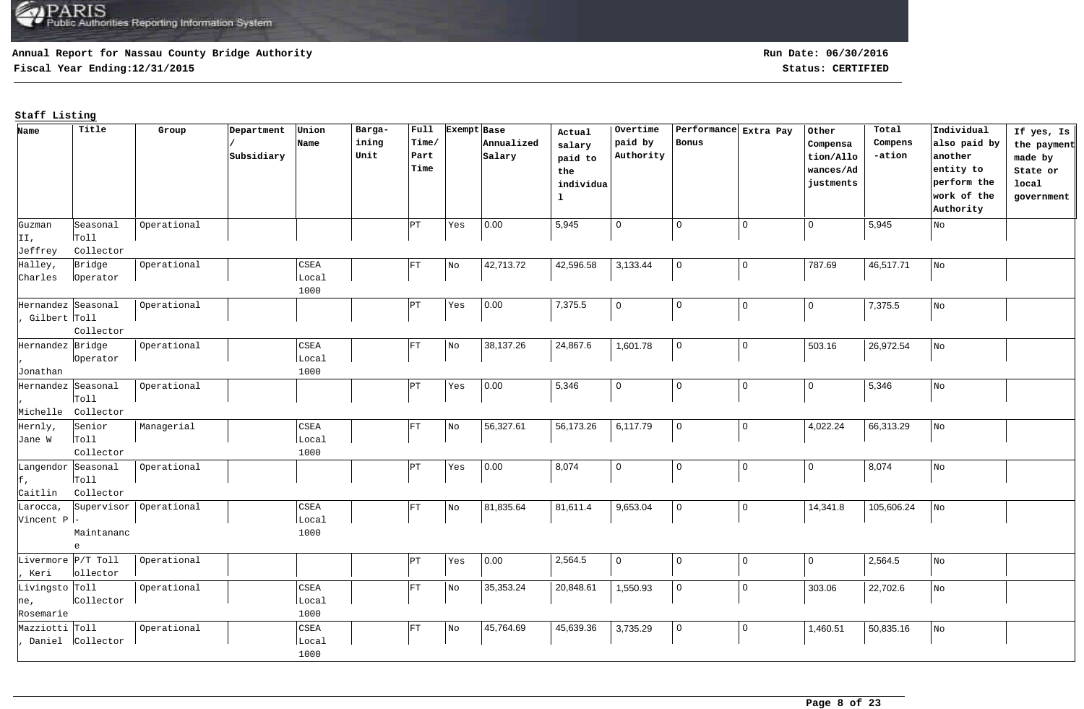## **Annual Report for Nassau County Bridge Authority**

**Fiscal Year Ending:12/31/2015 Status: CERTIFIED**

**Run Date: 06/30/2016**

| ining<br>paid by<br>Time/<br>Bonus<br>Annualized<br>Compens<br>also paid by<br>Name<br>Compensa<br>salary<br>Authority<br>Subsidiary<br>Unit<br>Part<br>-ation<br>another<br>Salary<br>tion/Allo<br>made by<br>paid to<br>Time<br>entity to<br>wances/Ad<br>State or<br>the<br>perform the<br>justments<br>local<br>individua<br>work of the<br>$\mathbf{1}$<br>government<br>Authority<br> 0.00<br>5,945<br>$\mathbf 0$<br>$\overline{0}$<br>Operational<br>$\mathbf 0$<br>$\mathbf 0$<br>5,945<br>Seasonal<br>PT)<br>Yes<br>No<br>Guzman<br>$ _{\text{Tol}}$<br>II,<br>Collector<br>Jeffrey<br>42,596.58<br>Halley,<br>Bridge<br>42,713.72<br>3,133.44<br>$\mathsf 0$<br>787.69<br>46,517.71<br>Operational<br>$\texttt{CSEA}$<br>$\mathbf 0$<br>FT<br>${\rm No}$<br>$_{\rm NO}$<br>Local<br>Charles<br>lOperator<br>1000<br>7,375.5<br>$\mathsf 0$<br>$\overline{0}$<br>Hernandez Seasonal<br>Operational<br> 0.00 <br>$\mathbf 0$<br>$\mathbf 0$<br>7,375.5<br> PT <br>Yes<br>No<br>Gilbert Toll<br>Collector<br>26,972.54<br>Hernandez Bridge<br>38,137.26<br>24,867.6<br>1,601.78<br>$\mathbf 0$<br>$\mathsf 0$<br>503.16<br>Operational<br>CSEA<br>FT<br>No<br>No<br>loperator<br>Local<br>Jonathan<br>1000<br> 0.00 <br>5,346<br>$\mathbf 0$<br>$\overline{0}$<br>5,346<br>Hernandez Seasonal<br> PT <br>$\mathbf 0$<br>$\Omega$<br>Operational<br>Yes<br>No<br>$ _{\text{Tol1}}$<br>Collector<br>Michelle<br>56,327.61<br>56,173.26<br>$\mathsf 0$<br>4,022.24<br>6,117.79<br>$\mathbf 0$<br>66,313.29<br>Managerial<br>CSEA<br>FT<br>Hernly,<br>Senior<br>No<br>No | Name | Title | Group | Department | Union | Barga- | Full | Exempt Base | Actual | Overtime | Performance Extra Pay | Other | Total | Individual | If yes, Is  |
|------------------------------------------------------------------------------------------------------------------------------------------------------------------------------------------------------------------------------------------------------------------------------------------------------------------------------------------------------------------------------------------------------------------------------------------------------------------------------------------------------------------------------------------------------------------------------------------------------------------------------------------------------------------------------------------------------------------------------------------------------------------------------------------------------------------------------------------------------------------------------------------------------------------------------------------------------------------------------------------------------------------------------------------------------------------------------------------------------------------------------------------------------------------------------------------------------------------------------------------------------------------------------------------------------------------------------------------------------------------------------------------------------------------------------------------------------------------------------------------------------------------------------------------------------------------------------|------|-------|-------|------------|-------|--------|------|-------------|--------|----------|-----------------------|-------|-------|------------|-------------|
|                                                                                                                                                                                                                                                                                                                                                                                                                                                                                                                                                                                                                                                                                                                                                                                                                                                                                                                                                                                                                                                                                                                                                                                                                                                                                                                                                                                                                                                                                                                                                                              |      |       |       |            |       |        |      |             |        |          |                       |       |       |            | the payment |
|                                                                                                                                                                                                                                                                                                                                                                                                                                                                                                                                                                                                                                                                                                                                                                                                                                                                                                                                                                                                                                                                                                                                                                                                                                                                                                                                                                                                                                                                                                                                                                              |      |       |       |            |       |        |      |             |        |          |                       |       |       |            |             |
|                                                                                                                                                                                                                                                                                                                                                                                                                                                                                                                                                                                                                                                                                                                                                                                                                                                                                                                                                                                                                                                                                                                                                                                                                                                                                                                                                                                                                                                                                                                                                                              |      |       |       |            |       |        |      |             |        |          |                       |       |       |            |             |
|                                                                                                                                                                                                                                                                                                                                                                                                                                                                                                                                                                                                                                                                                                                                                                                                                                                                                                                                                                                                                                                                                                                                                                                                                                                                                                                                                                                                                                                                                                                                                                              |      |       |       |            |       |        |      |             |        |          |                       |       |       |            |             |
|                                                                                                                                                                                                                                                                                                                                                                                                                                                                                                                                                                                                                                                                                                                                                                                                                                                                                                                                                                                                                                                                                                                                                                                                                                                                                                                                                                                                                                                                                                                                                                              |      |       |       |            |       |        |      |             |        |          |                       |       |       |            |             |
|                                                                                                                                                                                                                                                                                                                                                                                                                                                                                                                                                                                                                                                                                                                                                                                                                                                                                                                                                                                                                                                                                                                                                                                                                                                                                                                                                                                                                                                                                                                                                                              |      |       |       |            |       |        |      |             |        |          |                       |       |       |            |             |
|                                                                                                                                                                                                                                                                                                                                                                                                                                                                                                                                                                                                                                                                                                                                                                                                                                                                                                                                                                                                                                                                                                                                                                                                                                                                                                                                                                                                                                                                                                                                                                              |      |       |       |            |       |        |      |             |        |          |                       |       |       |            |             |
|                                                                                                                                                                                                                                                                                                                                                                                                                                                                                                                                                                                                                                                                                                                                                                                                                                                                                                                                                                                                                                                                                                                                                                                                                                                                                                                                                                                                                                                                                                                                                                              |      |       |       |            |       |        |      |             |        |          |                       |       |       |            |             |
|                                                                                                                                                                                                                                                                                                                                                                                                                                                                                                                                                                                                                                                                                                                                                                                                                                                                                                                                                                                                                                                                                                                                                                                                                                                                                                                                                                                                                                                                                                                                                                              |      |       |       |            |       |        |      |             |        |          |                       |       |       |            |             |
|                                                                                                                                                                                                                                                                                                                                                                                                                                                                                                                                                                                                                                                                                                                                                                                                                                                                                                                                                                                                                                                                                                                                                                                                                                                                                                                                                                                                                                                                                                                                                                              |      |       |       |            |       |        |      |             |        |          |                       |       |       |            |             |
|                                                                                                                                                                                                                                                                                                                                                                                                                                                                                                                                                                                                                                                                                                                                                                                                                                                                                                                                                                                                                                                                                                                                                                                                                                                                                                                                                                                                                                                                                                                                                                              |      |       |       |            |       |        |      |             |        |          |                       |       |       |            |             |
|                                                                                                                                                                                                                                                                                                                                                                                                                                                                                                                                                                                                                                                                                                                                                                                                                                                                                                                                                                                                                                                                                                                                                                                                                                                                                                                                                                                                                                                                                                                                                                              |      |       |       |            |       |        |      |             |        |          |                       |       |       |            |             |
|                                                                                                                                                                                                                                                                                                                                                                                                                                                                                                                                                                                                                                                                                                                                                                                                                                                                                                                                                                                                                                                                                                                                                                                                                                                                                                                                                                                                                                                                                                                                                                              |      |       |       |            |       |        |      |             |        |          |                       |       |       |            |             |
|                                                                                                                                                                                                                                                                                                                                                                                                                                                                                                                                                                                                                                                                                                                                                                                                                                                                                                                                                                                                                                                                                                                                                                                                                                                                                                                                                                                                                                                                                                                                                                              |      |       |       |            |       |        |      |             |        |          |                       |       |       |            |             |
|                                                                                                                                                                                                                                                                                                                                                                                                                                                                                                                                                                                                                                                                                                                                                                                                                                                                                                                                                                                                                                                                                                                                                                                                                                                                                                                                                                                                                                                                                                                                                                              |      |       |       |            |       |        |      |             |        |          |                       |       |       |            |             |
|                                                                                                                                                                                                                                                                                                                                                                                                                                                                                                                                                                                                                                                                                                                                                                                                                                                                                                                                                                                                                                                                                                                                                                                                                                                                                                                                                                                                                                                                                                                                                                              |      |       |       |            |       |        |      |             |        |          |                       |       |       |            |             |
|                                                                                                                                                                                                                                                                                                                                                                                                                                                                                                                                                                                                                                                                                                                                                                                                                                                                                                                                                                                                                                                                                                                                                                                                                                                                                                                                                                                                                                                                                                                                                                              |      |       |       |            |       |        |      |             |        |          |                       |       |       |            |             |
|                                                                                                                                                                                                                                                                                                                                                                                                                                                                                                                                                                                                                                                                                                                                                                                                                                                                                                                                                                                                                                                                                                                                                                                                                                                                                                                                                                                                                                                                                                                                                                              |      |       |       |            |       |        |      |             |        |          |                       |       |       |            |             |
|                                                                                                                                                                                                                                                                                                                                                                                                                                                                                                                                                                                                                                                                                                                                                                                                                                                                                                                                                                                                                                                                                                                                                                                                                                                                                                                                                                                                                                                                                                                                                                              |      |       |       |            |       |        |      |             |        |          |                       |       |       |            |             |
|                                                                                                                                                                                                                                                                                                                                                                                                                                                                                                                                                                                                                                                                                                                                                                                                                                                                                                                                                                                                                                                                                                                                                                                                                                                                                                                                                                                                                                                                                                                                                                              |      |       |       |            |       |        |      |             |        |          |                       |       |       |            |             |
|                                                                                                                                                                                                                                                                                                                                                                                                                                                                                                                                                                                                                                                                                                                                                                                                                                                                                                                                                                                                                                                                                                                                                                                                                                                                                                                                                                                                                                                                                                                                                                              |      |       |       |            |       |        |      |             |        |          |                       |       |       |            |             |
|                                                                                                                                                                                                                                                                                                                                                                                                                                                                                                                                                                                                                                                                                                                                                                                                                                                                                                                                                                                                                                                                                                                                                                                                                                                                                                                                                                                                                                                                                                                                                                              |      |       |       |            |       |        |      |             |        |          |                       |       |       |            |             |
| $ _{\text{Toll}}$<br>Jane W<br>Local                                                                                                                                                                                                                                                                                                                                                                                                                                                                                                                                                                                                                                                                                                                                                                                                                                                                                                                                                                                                                                                                                                                                                                                                                                                                                                                                                                                                                                                                                                                                         |      |       |       |            |       |        |      |             |        |          |                       |       |       |            |             |
| Collector<br>1000                                                                                                                                                                                                                                                                                                                                                                                                                                                                                                                                                                                                                                                                                                                                                                                                                                                                                                                                                                                                                                                                                                                                                                                                                                                                                                                                                                                                                                                                                                                                                            |      |       |       |            |       |        |      |             |        |          |                       |       |       |            |             |
| 0.00<br>8,074<br>$\mathbf 0$<br>$\mathbf 0$<br>$\mathbf 0$<br>Langendor Seasonal<br>Operational<br> PT<br>$\mathbf 0$<br>8,074<br>Yes<br>$_{\rm No}$                                                                                                                                                                                                                                                                                                                                                                                                                                                                                                                                                                                                                                                                                                                                                                                                                                                                                                                                                                                                                                                                                                                                                                                                                                                                                                                                                                                                                         |      |       |       |            |       |        |      |             |        |          |                       |       |       |            |             |
| E,<br>$ _{\text{Tol1}}$                                                                                                                                                                                                                                                                                                                                                                                                                                                                                                                                                                                                                                                                                                                                                                                                                                                                                                                                                                                                                                                                                                                                                                                                                                                                                                                                                                                                                                                                                                                                                      |      |       |       |            |       |        |      |             |        |          |                       |       |       |            |             |
| Collector<br>Caitlin                                                                                                                                                                                                                                                                                                                                                                                                                                                                                                                                                                                                                                                                                                                                                                                                                                                                                                                                                                                                                                                                                                                                                                                                                                                                                                                                                                                                                                                                                                                                                         |      |       |       |            |       |        |      |             |        |          |                       |       |       |            |             |
| 81,835.64<br>81,611.4<br>9,653.04<br>$\mathbf 0$<br>$\mathbf 0$<br>14,341.8<br>105,606.24<br>Supervisor<br>Operational<br>CSEA<br>Larocca,<br>FT<br>No<br>$_{\rm No}$                                                                                                                                                                                                                                                                                                                                                                                                                                                                                                                                                                                                                                                                                                                                                                                                                                                                                                                                                                                                                                                                                                                                                                                                                                                                                                                                                                                                        |      |       |       |            |       |        |      |             |        |          |                       |       |       |            |             |
| Local<br>Vincent P -                                                                                                                                                                                                                                                                                                                                                                                                                                                                                                                                                                                                                                                                                                                                                                                                                                                                                                                                                                                                                                                                                                                                                                                                                                                                                                                                                                                                                                                                                                                                                         |      |       |       |            |       |        |      |             |        |          |                       |       |       |            |             |
| 1000<br>Maintananc                                                                                                                                                                                                                                                                                                                                                                                                                                                                                                                                                                                                                                                                                                                                                                                                                                                                                                                                                                                                                                                                                                                                                                                                                                                                                                                                                                                                                                                                                                                                                           |      |       |       |            |       |        |      |             |        |          |                       |       |       |            |             |
| e                                                                                                                                                                                                                                                                                                                                                                                                                                                                                                                                                                                                                                                                                                                                                                                                                                                                                                                                                                                                                                                                                                                                                                                                                                                                                                                                                                                                                                                                                                                                                                            |      |       |       |            |       |        |      |             |        |          |                       |       |       |            |             |
| 0.00 <br>2,564.5<br>$\mathbf 0$<br>$\overline{0}$<br>Livermore P/T Toll<br>$\mathbf 0$<br>$\mathbf 0$<br>2,564.5<br>Operational<br>PТ<br>Yes<br>No<br>Keri<br>ollector                                                                                                                                                                                                                                                                                                                                                                                                                                                                                                                                                                                                                                                                                                                                                                                                                                                                                                                                                                                                                                                                                                                                                                                                                                                                                                                                                                                                       |      |       |       |            |       |        |      |             |        |          |                       |       |       |            |             |
|                                                                                                                                                                                                                                                                                                                                                                                                                                                                                                                                                                                                                                                                                                                                                                                                                                                                                                                                                                                                                                                                                                                                                                                                                                                                                                                                                                                                                                                                                                                                                                              |      |       |       |            |       |        |      |             |        |          |                       |       |       |            |             |
| $\mathbf 0$<br>Livingsto Toll<br>CSEA<br>$\mathbf 0$<br>22,702.6<br>Operational<br>FT<br>35,353.24<br>20,848.61<br>1,550.93<br>303.06<br>No<br>No<br>Collector<br>Local                                                                                                                                                                                                                                                                                                                                                                                                                                                                                                                                                                                                                                                                                                                                                                                                                                                                                                                                                                                                                                                                                                                                                                                                                                                                                                                                                                                                      |      |       |       |            |       |        |      |             |        |          |                       |       |       |            |             |
| ne,<br>1000<br>Rosemarie                                                                                                                                                                                                                                                                                                                                                                                                                                                                                                                                                                                                                                                                                                                                                                                                                                                                                                                                                                                                                                                                                                                                                                                                                                                                                                                                                                                                                                                                                                                                                     |      |       |       |            |       |        |      |             |        |          |                       |       |       |            |             |
| 1,460.51<br>Mazziotti Toll<br>45,764.69<br>45,639.36<br>3,735.29<br>$\mathbf 0$<br>$\mathbf 0$<br>50,835.16<br>Operational<br>CSEA<br>$_{\rm No}$<br>$_{\rm No}$<br>FT                                                                                                                                                                                                                                                                                                                                                                                                                                                                                                                                                                                                                                                                                                                                                                                                                                                                                                                                                                                                                                                                                                                                                                                                                                                                                                                                                                                                       |      |       |       |            |       |        |      |             |        |          |                       |       |       |            |             |
| Daniel <i>Collector</i><br>Local                                                                                                                                                                                                                                                                                                                                                                                                                                                                                                                                                                                                                                                                                                                                                                                                                                                                                                                                                                                                                                                                                                                                                                                                                                                                                                                                                                                                                                                                                                                                             |      |       |       |            |       |        |      |             |        |          |                       |       |       |            |             |
| 1000                                                                                                                                                                                                                                                                                                                                                                                                                                                                                                                                                                                                                                                                                                                                                                                                                                                                                                                                                                                                                                                                                                                                                                                                                                                                                                                                                                                                                                                                                                                                                                         |      |       |       |            |       |        |      |             |        |          |                       |       |       |            |             |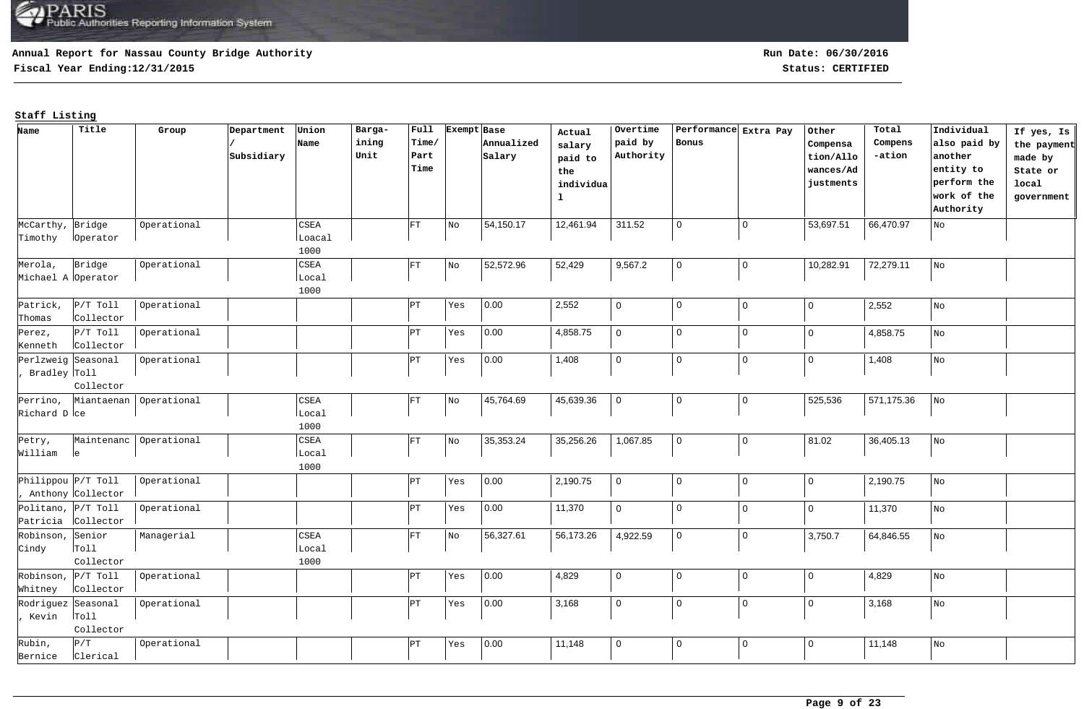## **Annual Report for Nassau County Bridge Authority**

**Fiscal Year Ending:12/31/2015 Status: CERTIFIED**

| Name                 | Title              | Group                  | Department | Union  | Barga- | Full  | Exempt Base |            | Actual      | Overtime       | Performance Extra Pay |             | Other          | Total      | Individual                  | If yes, Is  |
|----------------------|--------------------|------------------------|------------|--------|--------|-------|-------------|------------|-------------|----------------|-----------------------|-------------|----------------|------------|-----------------------------|-------------|
|                      |                    |                        |            | Name   | ining  | Time/ |             | Annualized | salary      | paid by        | Bonus                 |             | Compensa       | Compens    | also paid by                | the payment |
|                      |                    |                        | Subsidiary |        | Unit   | Part  |             | Salary     | paid to     | Authority      |                       |             | tion/Allo      | -ation     | another                     | made by     |
|                      |                    |                        |            |        |        | Time  |             |            | the         |                |                       |             | wances/Ad      |            | entity to                   | State or    |
|                      |                    |                        |            |        |        |       |             |            | individua   |                |                       |             | justments      |            | perform the                 | local       |
|                      |                    |                        |            |        |        |       |             |            | $\mathbf 1$ |                |                       |             |                |            | work of the                 | government  |
|                      |                    |                        |            |        |        |       |             |            |             |                |                       |             |                |            | Authority                   |             |
| McCarthy,            | Bridge             | Operational            |            | CSEA   |        | FT    | No          | 54,150.17  | 12,461.94   | 311.52         | $\mathbf 0$           | $\mathbf 0$ | 53,697.51      | 66,470.97  | $_{\rm NO}$                 |             |
| Timothy              | loperator          |                        |            | Loacal |        |       |             |            |             |                |                       |             |                |            |                             |             |
|                      |                    |                        |            | 1000   |        |       |             |            |             |                |                       |             |                |            |                             |             |
| Merola,              | Bridge             | Operational            |            | CSEA   |        | FT    | No          | 52,572.96  | 52,429      | 9,567.2        | $\mathbf 0$           | $\mathbf 0$ | 10,282.91      | 72,279.11  | No                          |             |
| Michael A Operator   |                    |                        |            | Local  |        |       |             |            |             |                |                       |             |                |            |                             |             |
|                      |                    |                        |            | 1000   |        |       |             |            |             |                |                       |             |                |            |                             |             |
| Patrick,             | $P/T$ Toll         | Operational            |            |        |        | ÞΤ    | Yes         | 0.00       | 2,552       | $\mathbf 0$    | $\mathbf{0}$          | $\mathbf 0$ | $\mathbf 0$    | 2,552      | No                          |             |
| Thomas               | Collector          |                        |            |        |        |       |             |            |             |                |                       |             |                |            |                             |             |
| Perez,               | $P/T$ Toll         | Operational            |            |        |        | ÞТ    | Yes         | 0.00       | 4,858.75    | $\mathbf 0$    | $\mathbf 0$           | $\mathbf 0$ | 0 I            | 4,858.75   | No                          |             |
| Kenneth              | Collector          |                        |            |        |        |       |             |            |             |                |                       |             |                |            |                             |             |
|                      | Perlzweig Seasonal | Operational            |            |        |        | PΤ    | Yes         | 0.00       | 1,408       | $\mathsf 0$    | $\mathbf 0$           | $\mathbf 0$ | $\mathbf 0$    | 1,408      | No                          |             |
| , Bradley Toll       |                    |                        |            |        |        |       |             |            |             |                |                       |             |                |            |                             |             |
|                      | Collector          |                        |            |        |        |       |             |            |             |                |                       |             |                |            |                             |             |
| Perrino,             |                    | Miantaenan Operational |            | CSEA   |        | FT    | No          | 45,764.69  | 45,639.36   | $\overline{0}$ | $\mathbf 0$           | $\mathsf 0$ | 525,536        | 571,175.36 | No                          |             |
| Richard D ce         |                    |                        |            | Local  |        |       |             |            |             |                |                       |             |                |            |                             |             |
|                      |                    |                        |            | 1000   |        |       |             |            |             |                |                       |             |                |            |                             |             |
| Petry,               |                    | Maintenanc Operational |            | CSEA   |        | FT    | No          | 35,353.24  | 35,256.26   | 1,067.85       | $\mathbf 0$           | $\mathsf 0$ | 81.02          | 36,405.13  | No                          |             |
| William              | le                 |                        |            | Local  |        |       |             |            |             |                |                       |             |                |            |                             |             |
|                      |                    |                        |            | 1000   |        |       |             |            |             |                |                       |             |                |            |                             |             |
|                      | Philippou P/T Toll | Operational            |            |        |        | PT)   | Yes         | 0.00       | 2,190.75    | $\mathbf 0$    | $\mathbf 0$           | $\mathbf 0$ | $\mathbf 0$    | 2,190.75   | No                          |             |
|                      | Anthony Collector  |                        |            |        |        |       |             |            |             |                |                       |             |                |            |                             |             |
|                      | Politano, P/T Toll | Operational            |            |        |        | ÞТ    | Yes         | 0.00       | 11,370      | $\mathbf 0$    | $\mathbf{0}$          | $\mathbf 0$ | 0 I            | 11,370     | No                          |             |
|                      | Patricia Collector |                        |            |        |        |       |             |            |             |                |                       |             |                |            |                             |             |
| Robinson, Senior     |                    | Managerial             |            | CSEA   |        | FT    | No          | 56,327.61  | 56,173.26   | 4,922.59       | $\mathbf 0$           | $\mathbf 0$ | 3,750.7        | 64,846.55  | $\overline{\phantom{a}}$ No |             |
| Cindy                | Toll               |                        |            | Local  |        |       |             |            |             |                |                       |             |                |            |                             |             |
|                      | Collector          |                        |            | 1000   |        |       |             |            |             |                |                       |             |                |            |                             |             |
| Robinson, $P/T$ Toll |                    | Operational            |            |        |        | ÞТ    | Yes         | 0.00       | 4,829       | $\mathbf 0$    | $\mathbf 0$           | $\mathbf 0$ | $\overline{0}$ | 4,829      | No                          |             |
| Whitney              | Collector          |                        |            |        |        |       |             |            |             |                |                       |             |                |            |                             |             |
| Rodriguez Seasonal   |                    | Operational            |            |        |        | ÞТ    | Yes         | 0.00       | 3,168       | $\mathbf 0$    | $\mathbf{0}$          | $\mathbf 0$ | $\mathbf{0}$   | 3,168      | $\overline{\phantom{a}}$ No |             |
| , Kevin              | Toll               |                        |            |        |        |       |             |            |             |                |                       |             |                |            |                             |             |
|                      | Collector          |                        |            |        |        |       |             |            |             |                |                       |             |                |            |                             |             |
| Rubin,               | P/T                | Operational            |            |        |        | ÞΤ    | Yes         | 0.00       | 11,148      | $\mathbf 0$    | $\mathbf 0$           | $\mathbf 0$ | $\mathbf 0$    | 11,148     | No                          |             |
| Bernice              | Clerical           |                        |            |        |        |       |             |            |             |                |                       |             |                |            |                             |             |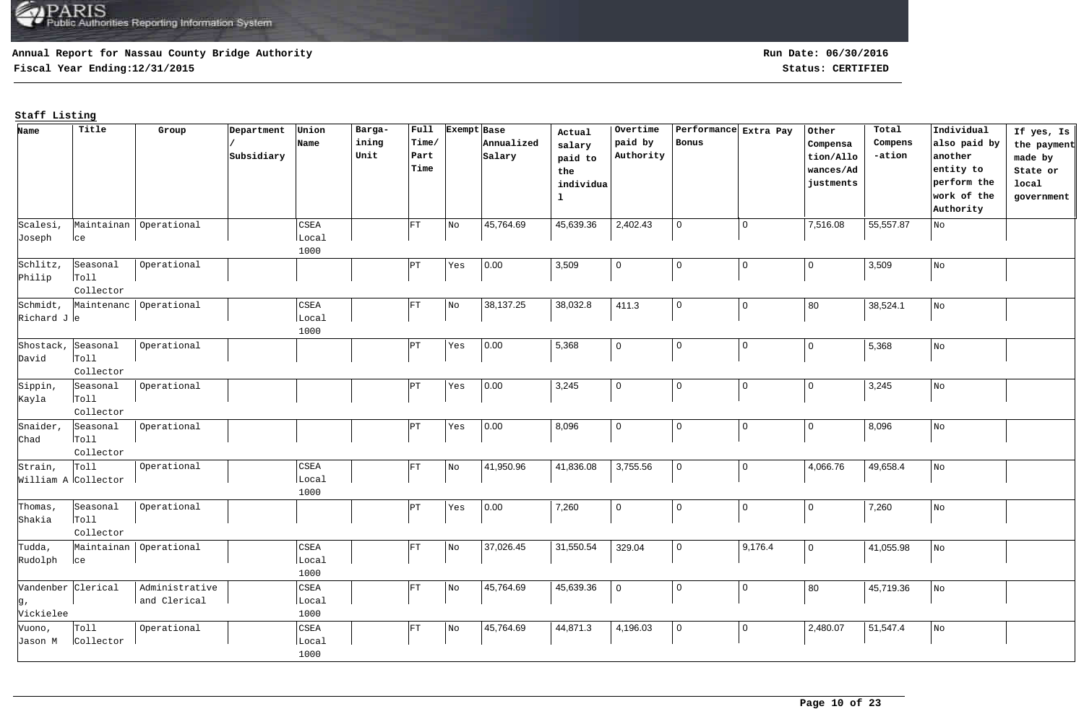## **Annual Report for Nassau County Bridge Authority**

**Fiscal Year Ending:12/31/2015 Status: CERTIFIED**

| Name               | Title               | Group                    | Department | Union | Barga- | Full  | Exempt Base |            | Actual       | Overtime       | Performance Extra Pay |                | Other          | Total     | Individual   | If yes, Is  |
|--------------------|---------------------|--------------------------|------------|-------|--------|-------|-------------|------------|--------------|----------------|-----------------------|----------------|----------------|-----------|--------------|-------------|
|                    |                     |                          |            | Name  | ining  | Time/ |             | Annualized | salary       | paid by        | Bonus                 |                | Compensa       | Compens   | also paid by | the payment |
|                    |                     |                          | Subsidiary |       | Unit   | Part  |             | Salary     | paid to      | Authority      |                       |                | tion/Allo      | -ation    | another      | made by     |
|                    |                     |                          |            |       |        | Time  |             |            | the          |                |                       |                | wances/Ad      |           | entity to    | State or    |
|                    |                     |                          |            |       |        |       |             |            | individua    |                |                       |                | justments      |           | perform the  | local       |
|                    |                     |                          |            |       |        |       |             |            | $\mathbf{1}$ |                |                       |                |                |           | work of the  | government  |
|                    |                     |                          |            |       |        |       |             |            |              |                |                       |                |                |           | Authority    |             |
| Scalesi,           |                     | Maintainan   Operational |            | CSEA  |        | FT    | No          | 45,764.69  | 45,639.36    | 2,402.43       | $\mathbf 0$           | $\mathbf 0$    | 7,516.08       | 55,557.87 | No           |             |
| Joseph             | lce                 |                          |            | Local |        |       |             |            |              |                |                       |                |                |           |              |             |
|                    |                     |                          |            | 1000  |        |       |             |            |              |                |                       |                |                |           |              |             |
| Schlitz,           | Seasonal            | Operational              |            |       |        | PT    | Yes         | 0.00       | 3,509        | $\mathbf 0$    | $\mathbf 0$           | $\pmb{0}$      | 0              | 3,509     | ${\rm No}$   |             |
| Philip             | r <sub>ol1</sub>    |                          |            |       |        |       |             |            |              |                |                       |                |                |           |              |             |
|                    | Collector           |                          |            |       |        |       |             |            |              |                |                       |                |                |           |              |             |
| Schmidt,           | Maintenanc          | operational              |            | CSEA  |        | FT    | No          | 38,137.25  | 38,032.8     | 411.3          | $\mathbf 0$           | $\mathbf 0$    | 80             | 38,524.1  | ${\rm No}$   |             |
| Richard Je         |                     |                          |            | Local |        |       |             |            |              |                |                       |                |                |           |              |             |
|                    |                     |                          |            | 1000  |        |       |             |            |              |                |                       |                |                |           |              |             |
| Shostack,          | Seasonal            | Operational              |            |       |        | PT)   | Yes         | 0.00       | 5,368        | $\mathbf 0$    | $\mathbf 0$           | $\mathbf 0$    | 0              | 5,368     | No           |             |
| David              | Toll                |                          |            |       |        |       |             |            |              |                |                       |                |                |           |              |             |
|                    | Collector           |                          |            |       |        |       |             |            |              |                |                       |                |                |           |              |             |
| Sippin,            | Seasonal            | Operational              |            |       |        | PT    | Yes         | 0.00       | 3,245        | $\overline{0}$ | $\mathbf 0$           | $\mathbf 0$    | $\overline{0}$ | 3,245     | No           |             |
| Kayla              | Toll                |                          |            |       |        |       |             |            |              |                |                       |                |                |           |              |             |
|                    | Collector           |                          |            |       |        |       |             |            |              |                |                       |                |                |           |              |             |
| Snaider,           | Seasonal            | Operational              |            |       |        | PТ    | Yes         | 0.00       | 8,096        | $\mathbf 0$    | $\mathbf 0$           | $\overline{0}$ | 0              | 8,096     | No           |             |
| Chad               | T <sub>O</sub> 11   |                          |            |       |        |       |             |            |              |                |                       |                |                |           |              |             |
|                    | Collector           |                          |            |       |        |       |             |            |              |                |                       |                |                |           |              |             |
| Strain,            | Tol1                | Operational              |            | CSEA  |        | FT    | No          | 41,950.96  | 41,836.08    | 3,755.56       | $\overline{0}$        | $\mathbf 0$    | 4,066.76       | 49,658.4  | No           |             |
|                    | William A Collector |                          |            | Local |        |       |             |            |              |                |                       |                |                |           |              |             |
|                    |                     |                          |            | 1000  |        |       |             |            |              |                |                       |                |                |           |              |             |
| Thomas,            | Seasonal            | Operational              |            |       |        | PТ    | Yes         | 0.00       | 7,260        | $\mathbf 0$    | $\mathbf 0$           | $\mathbf 0$    | 0              | 7,260     | $_{\rm No}$  |             |
| Shakia             | T <sub>O</sub> 11   |                          |            |       |        |       |             |            |              |                |                       |                |                |           |              |             |
|                    | Collector           |                          |            |       |        |       |             |            |              |                |                       |                |                |           |              |             |
| Tudda,             |                     | Maintainan Operational   |            | CSEA  |        | FT    | No          | 37,026.45  | 31,550.54    | 329.04         | $\mathsf 0$           | 9,176.4        | $\overline{0}$ | 41,055.98 | ${\rm No}$   |             |
| Rudolph            | ce                  |                          |            | Local |        |       |             |            |              |                |                       |                |                |           |              |             |
|                    |                     |                          |            | 1000  |        |       |             |            |              |                |                       |                |                |           |              |             |
| Vandenber Clerical |                     | Administrative           |            | CSEA  |        | FT    | No          | 45,764.69  | 45,639.36    | $\mathbf 0$    | $\Omega$              | $\mathsf 0$    | 80             | 45,719.36 | ${\rm No}$   |             |
| g,                 |                     | and Clerical             |            | Local |        |       |             |            |              |                |                       |                |                |           |              |             |
| Vickielee          |                     |                          |            | 1000  |        |       |             |            |              |                |                       |                |                |           |              |             |
| Vuono,             | Toll                | Operational              |            | CSEA  |        | FT    | No          | 45,764.69  | 44,871.3     | 4,196.03       | $\overline{0}$        | $\overline{0}$ | 2,480.07       | 51,547.4  | No           |             |
| Jason M            | Collector           |                          |            | Local |        |       |             |            |              |                |                       |                |                |           |              |             |
|                    |                     |                          |            | 1000  |        |       |             |            |              |                |                       |                |                |           |              |             |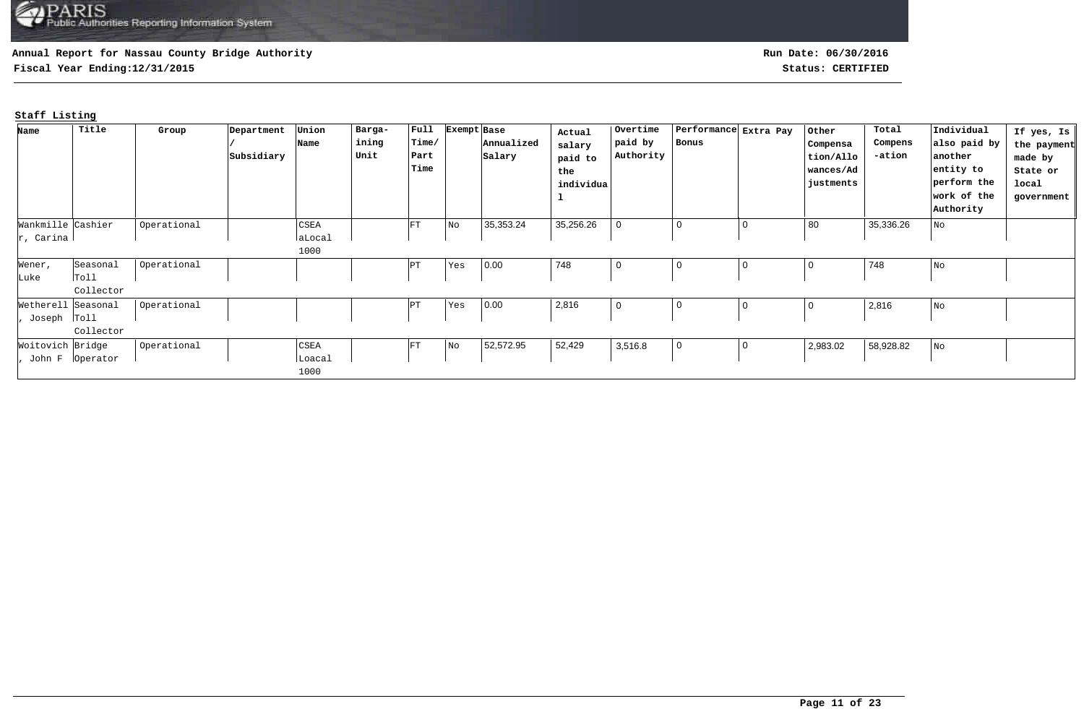## **Annual Report for Nassau County Bridge Authority**

**Fiscal Year Ending:12/31/2015 Status: CERTIFIED**

**Run Date: 06/30/2016**

| Name               | Title             | Group       | Department | Union  | Barga- | $ $ Full | Exempt Base                 |            | Actual    | Overtime  | Performance Extra Pay |   | Other          | Total     | Individual   | If yes, Is  |
|--------------------|-------------------|-------------|------------|--------|--------|----------|-----------------------------|------------|-----------|-----------|-----------------------|---|----------------|-----------|--------------|-------------|
|                    |                   |             |            | Name   | ining  | Time/    |                             | Annualized | salary    | paid by   | Bonus                 |   | Compensa       | Compens   | also paid by | the payment |
|                    |                   |             | Subsidiary |        | Unit   | Part     |                             | Salary     | paid to   | Authority |                       |   | tion/Allo      | -ation    | another      | made by     |
|                    |                   |             |            |        |        | Time     |                             |            | the       |           |                       |   | wances/Ad      |           | entity to    | State or    |
|                    |                   |             |            |        |        |          |                             |            | individua |           |                       |   | justments      |           | perform the  | local       |
|                    |                   |             |            |        |        |          |                             |            |           |           |                       |   |                |           | work of the  | government  |
|                    |                   |             |            |        |        |          |                             |            |           |           |                       |   |                |           | Authority    |             |
| Wankmille Cashier  |                   | Operational |            | CSEA   |        | FT       | N <sub>O</sub>              | 35,353.24  | 35,256.26 |           | 0                     | 0 | 80             | 35,336.26 | No           |             |
| $ r$ , Carina      |                   |             |            | aLocal |        |          |                             |            |           |           |                       |   |                |           |              |             |
|                    |                   |             |            | 1000   |        |          |                             |            |           |           |                       |   |                |           |              |             |
| Wener,             | Seasonal          | Operational |            |        |        | PT       | Yes                         | 0.00       | 748       |           |                       | 0 | $\overline{0}$ | 748       | No           |             |
| Luke               | Toll              |             |            |        |        |          |                             |            |           |           |                       |   |                |           |              |             |
|                    | Collector         |             |            |        |        |          |                             |            |           |           |                       |   |                |           |              |             |
| Wetherell Seasonal |                   | Operational |            |        |        | PΤ       | Yes                         | 0.00       | 2,816     |           | 0                     | 0 | $\overline{0}$ | 2,816     | No           |             |
| Joseph Toll        |                   |             |            |        |        |          |                             |            |           |           |                       |   |                |           |              |             |
|                    | Collector         |             |            |        |        |          |                             |            |           |           |                       |   |                |           |              |             |
| Woitovich Bridge   |                   | Operational |            | CSEA   |        | FT       | $\overline{\phantom{a}}$ No | 52,572.95  | 52,429    | 3,516.8   | $\overline{0}$        | 0 | 2,983.02       | 58,928.82 | No           |             |
|                    | John F   Operator |             |            | Loacal |        |          |                             |            |           |           |                       |   |                |           |              |             |
|                    |                   |             |            | 1000   |        |          |                             |            |           |           |                       |   |                |           |              |             |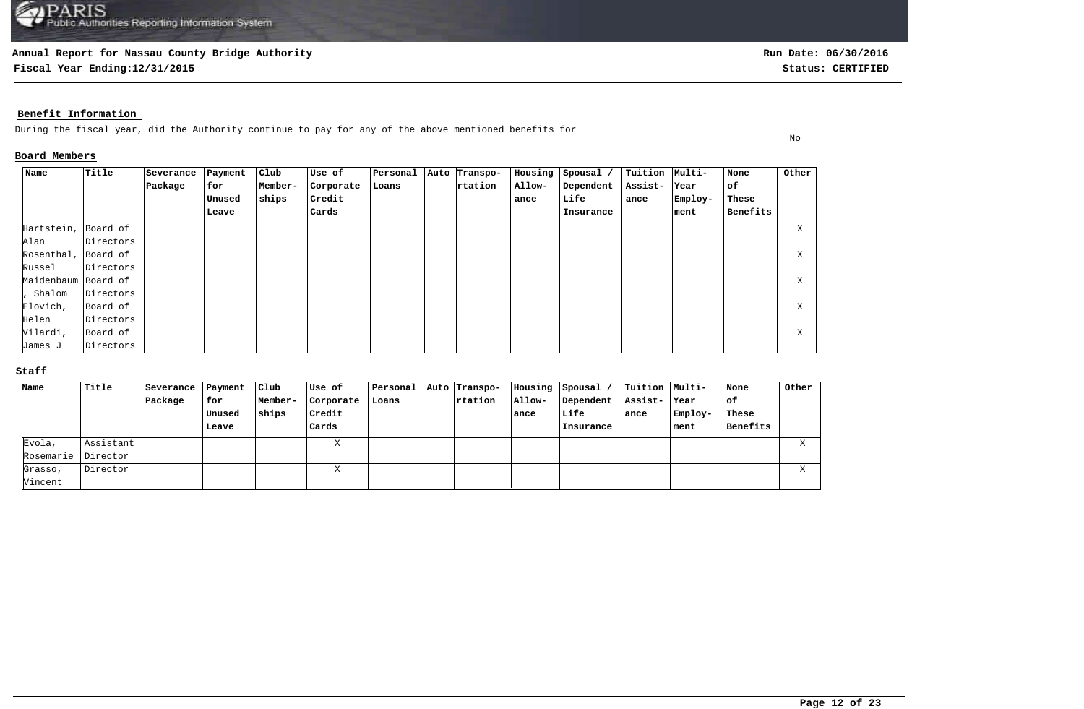### **Annual Report for Nassau County Bridge Authority**

**Fiscal Year Ending:12/31/2015 Status: CERTIFIED**

No

## **Benefit Information**

During the fiscal year, did the Authority continue to pay for any of the above mentioned benefits for

## **Board Members**

| Name                | Title     | Severance | Payment | Club    | Use of    | Personal | Auto Transpo- | Housing | Spousal / | Tuition Multi- |         | None     | Other |
|---------------------|-----------|-----------|---------|---------|-----------|----------|---------------|---------|-----------|----------------|---------|----------|-------|
|                     |           | Package   | for     | Member- | Corporate | Loans    | rtation       | Allow-  | Dependent | Assist-        | Year    | of       |       |
|                     |           |           | Unused  | ships   | Credit    |          |               | ance    | Life      | ance           | Employ- | These    |       |
|                     |           |           | Leave   |         | Cards     |          |               |         | Insurance |                | ment    | Benefits |       |
| Hartstein,          | Board of  |           |         |         |           |          |               |         |           |                |         |          | X.    |
| Alan                | Directors |           |         |         |           |          |               |         |           |                |         |          |       |
| Rosenthal, Board of |           |           |         |         |           |          |               |         |           |                |         |          | X     |
| Russel              | Directors |           |         |         |           |          |               |         |           |                |         |          |       |
| Maidenbaum Board of |           |           |         |         |           |          |               |         |           |                |         |          | X.    |
| Shalom              | Directors |           |         |         |           |          |               |         |           |                |         |          |       |
| Elovich,            | Board of  |           |         |         |           |          |               |         |           |                |         |          | X     |
| Helen               | Directors |           |         |         |           |          |               |         |           |                |         |          |       |
| Vilardi,            | Board of  |           |         |         |           |          |               |         |           |                |         |          | X     |
| James J             | Directors |           |         |         |           |          |               |         |           |                |         |          |       |

# **Staff**

| Name      | Title     | Severance | Payment | Club!   | Use of    | Personal | Auto Transpo- | Housing | Spousal   | Tuition   Multi- |          | None     | Other  |
|-----------|-----------|-----------|---------|---------|-----------|----------|---------------|---------|-----------|------------------|----------|----------|--------|
|           |           | Package   | for     | Member- | Corporate | Loans    | rtation       | Allow-  | Dependent | Assist-          | Year     | l of     |        |
|           |           |           | Unused  | ships   | Credit    |          |               | ance    | Life      | ance             | Employ-  | These    |        |
|           |           |           | Leave   |         | Cards     |          |               |         | Insurance |                  | $ $ ment | Benefits |        |
| Evola,    | Assistant |           |         |         | $-$<br>△  |          |               |         |           |                  |          |          | $\tau$ |
| Rosemarie | Director  |           |         |         |           |          |               |         |           |                  |          |          |        |
| Grasso,   | Director  |           |         |         | $-$       |          |               |         |           |                  |          |          | $\tau$ |
| Vincent   |           |           |         |         |           |          |               |         |           |                  |          |          |        |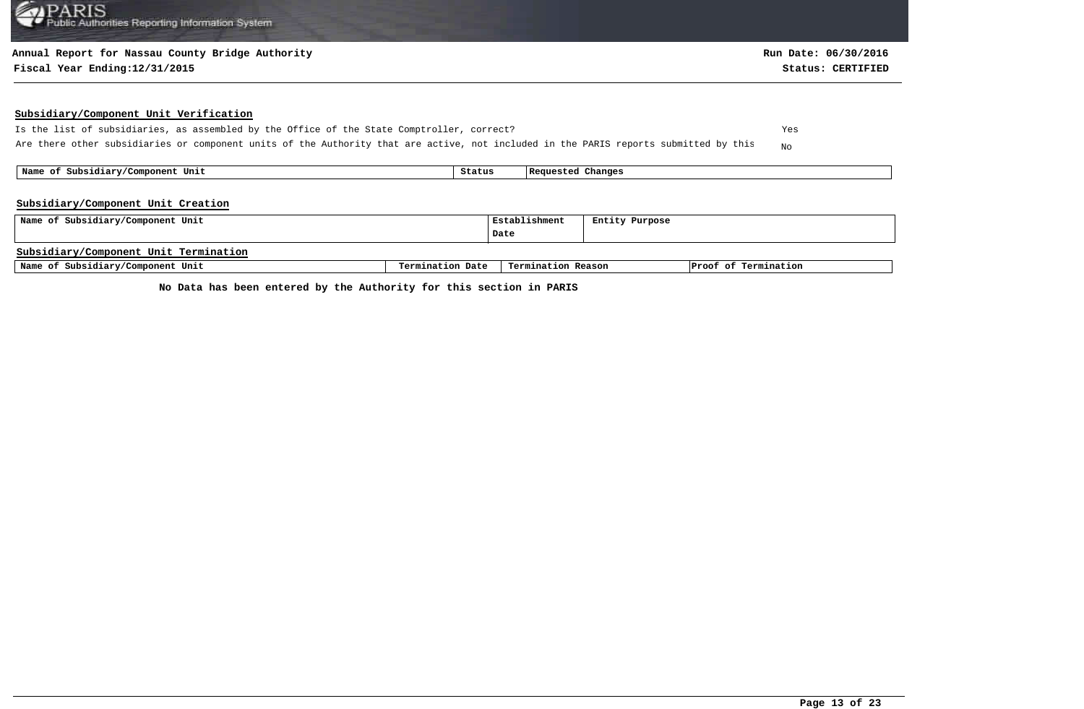### **Annual Report for Nassau County Bridge Authority**

#### **Fiscal Year Ending:12/31/2015 Status: CERTIFIED**

### **Subsidiary/Component Unit Verification**

Is the list of subsidiaries, as assembled by the Office of the State Comptroller, correct? Yes Are there other subsidiaries or component units of the Authority that are active, not included in the PARIS reports submitted by this  $N_{\rm NO}$ 

 **Name of Subsidiary/Component Unit Status Requested Changes** 

### **Subsidiary/Component Unit Creation**

| Name of Subsidiary/Component Unit     |                  | Establishment      | Entity Purpose |                      |  |
|---------------------------------------|------------------|--------------------|----------------|----------------------|--|
|                                       |                  | Date               |                |                      |  |
| Subsidiary/Component Unit Termination |                  |                    |                |                      |  |
| Name of Subsidiary/Component Unit     | Termination Date | Termination Reason |                | Proof of Termination |  |

**No Data has been entered by the Authority for this section in PARIS**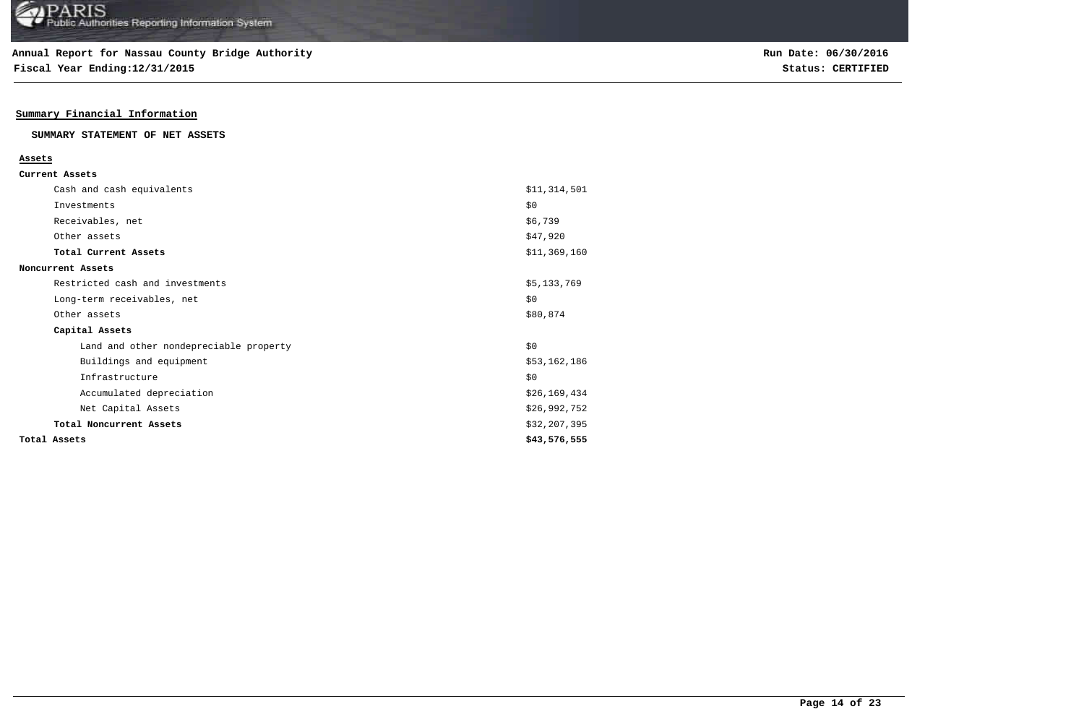**Fiscal Year Ending:12/31/2015 Status: CERTIFIED**

## **Summary Financial Information**

### **SUMMARY STATEMENT OF NET ASSETS**

#### **Assets**

| Current Assets |  |
|----------------|--|
|----------------|--|

| Cash and cash equivalents              | \$11,314,501 |
|----------------------------------------|--------------|
| Investments                            | \$0          |
| Receivables, net                       | \$6,739      |
| Other assets                           | \$47,920     |
| Total Current Assets                   | \$11,369,160 |
| Noncurrent Assets                      |              |
| Restricted cash and investments        | \$5,133,769  |
| Long-term receivables, net             | \$0          |
| Other assets                           | \$80,874     |
| Capital Assets                         |              |
| Land and other nondepreciable property | \$0          |
| Buildings and equipment                | \$53,162,186 |
| Infrastructure                         | \$0          |
| Accumulated depreciation               | \$26,169,434 |
| Net Capital Assets                     | \$26,992,752 |
| Total Noncurrent Assets                | \$32,207,395 |
| Total Assets                           | \$43,576,555 |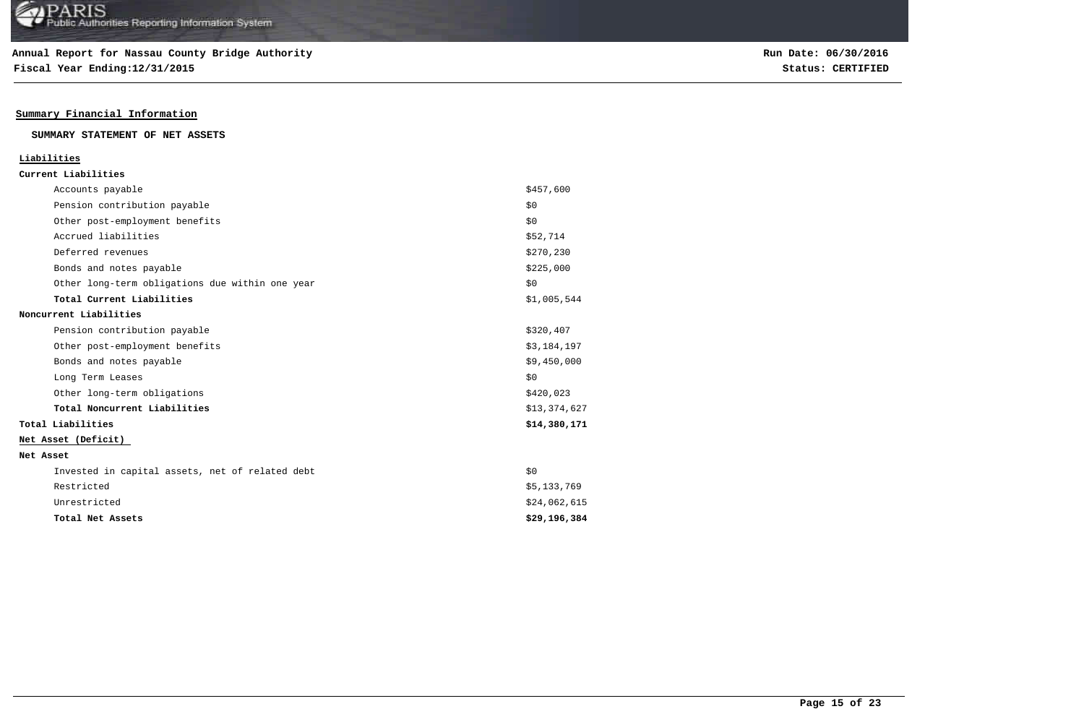**Fiscal Year Ending:12/31/2015 Status: CERTIFIED**

## **Summary Financial Information**

### **SUMMARY STATEMENT OF NET ASSETS**

### **Liabilities**

| Current Liabilities |  |
|---------------------|--|
|---------------------|--|

| Accounts payable                                | \$457,600    |
|-------------------------------------------------|--------------|
| Pension contribution payable                    | \$0          |
| Other post-employment benefits                  | \$0          |
| Accrued liabilities                             | \$52,714     |
| Deferred revenues                               | \$270,230    |
| Bonds and notes payable                         | \$225,000    |
| Other long-term obligations due within one year | \$0          |
| Total Current Liabilities                       | \$1,005,544  |
| Noncurrent Liabilities                          |              |
| Pension contribution payable                    | \$320,407    |
| Other post-employment benefits                  | \$3,184,197  |
| Bonds and notes payable                         | \$9,450,000  |
| Long Term Leases                                | \$0          |
| Other long-term obligations                     | \$420,023    |
| Total Noncurrent Liabilities                    | \$13,374,627 |
| Total Liabilities                               | \$14,380,171 |
| Net Asset (Deficit)                             |              |
| Net Asset                                       |              |
| Invested in capital assets, net of related debt | \$0          |
| Restricted                                      | \$5,133,769  |
| Unrestricted                                    | \$24,062,615 |
| Total Net Assets                                | \$29,196,384 |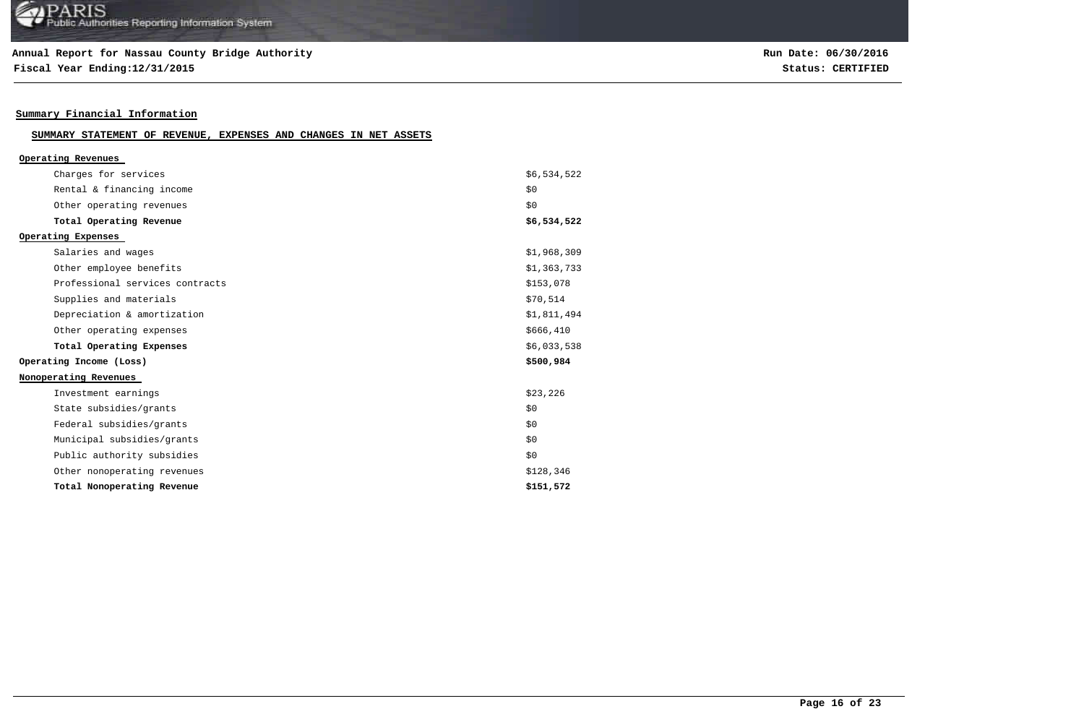## **Annual Report for Nassau County Bridge Authority**

**Fiscal Year Ending:12/31/2015 Status: CERTIFIED**

## **Summary Financial Information**

#### **SUMMARY STATEMENT OF REVENUE, EXPENSES AND CHANGES IN NET ASSETS**

| Operating Revenues              |             |
|---------------------------------|-------------|
| Charges for services            | \$6,534,522 |
| Rental & financing income       | \$0         |
| Other operating revenues        | \$0         |
| Total Operating Revenue         | \$6,534,522 |
| Operating Expenses              |             |
| Salaries and wages              | \$1,968,309 |
| Other employee benefits         | \$1,363,733 |
| Professional services contracts | \$153,078   |
| Supplies and materials          | \$70,514    |
| Depreciation & amortization     | \$1,811,494 |
| Other operating expenses        | \$666, 410  |
| Total Operating Expenses        | \$6,033,538 |
| Operating Income (Loss)         | \$500,984   |
| Nonoperating Revenues           |             |
| Investment earnings             | \$23,226    |
| State subsidies/grants          | \$0         |
| Federal subsidies/grants        | \$0         |
| Municipal subsidies/grants      | \$0         |
| Public authority subsidies      | \$0         |
| Other nonoperating revenues     | \$128,346   |
| Total Nonoperating Revenue      | \$151,572   |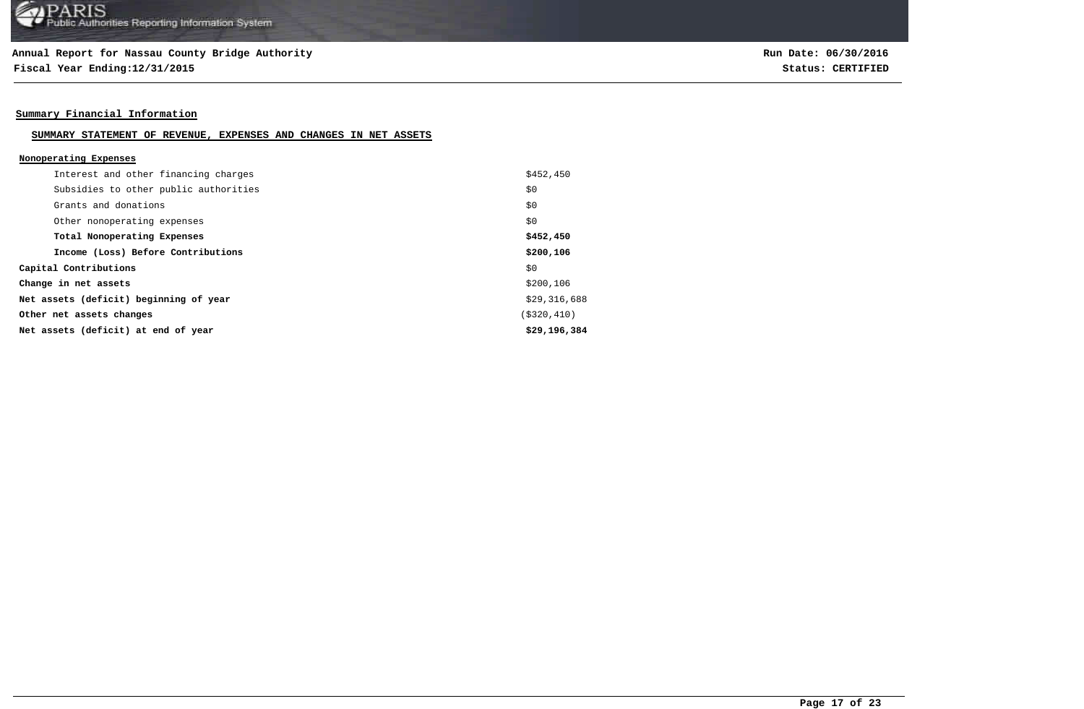**Fiscal Year Ending:12/31/2015 Status: CERTIFIED**

## **Summary Financial Information**

#### **SUMMARY STATEMENT OF REVENUE, EXPENSES AND CHANGES IN NET ASSETS**

### **Nonoperating Expenses**

| Interest and other financing charges   | \$452,450    |
|----------------------------------------|--------------|
| Subsidies to other public authorities  | \$0          |
| Grants and donations                   | \$0          |
| Other nonoperating expenses            | \$0          |
| Total Nonoperating Expenses            | \$452,450    |
| Income (Loss) Before Contributions     | \$200,106    |
| Capital Contributions                  | \$0          |
| Change in net assets                   | \$200,106    |
| Net assets (deficit) beginning of year | \$29,316,688 |
| Other net assets changes               | (\$320,410)  |
| Net assets (deficit) at end of year    | \$29,196,384 |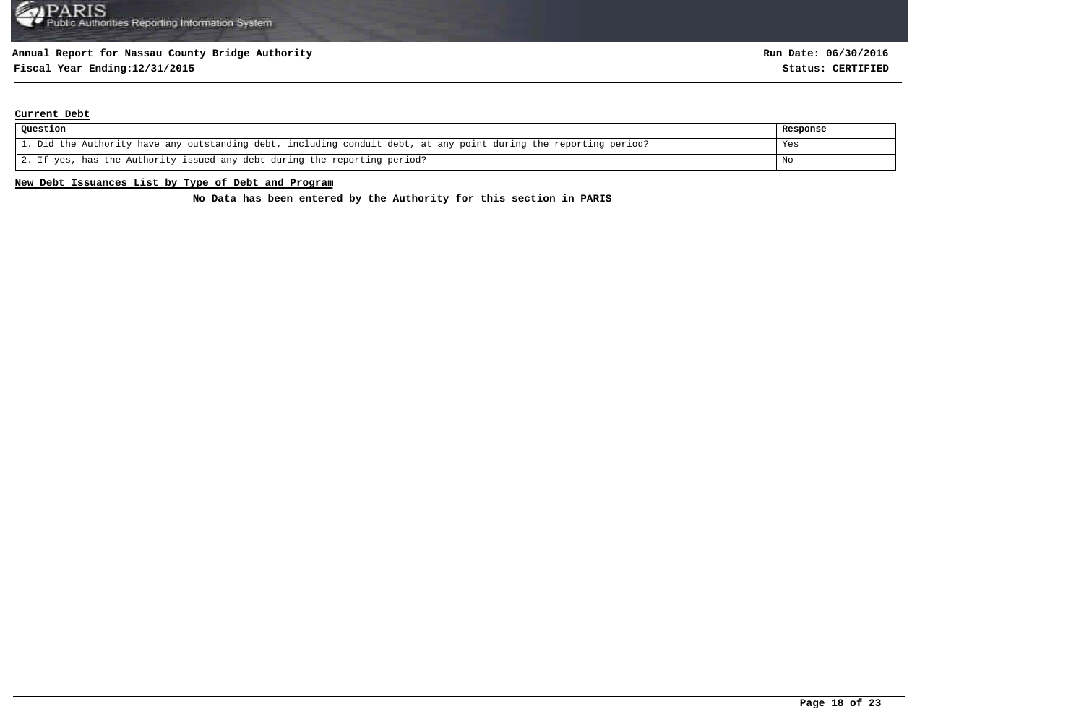# **Fiscal Year Ending:12/31/2015 Status: CERTIFIED**

### **Current Debt**

| Question                                                                                                          | Response |
|-------------------------------------------------------------------------------------------------------------------|----------|
| 1. Did the Authority have any outstanding debt, including conduit debt, at any point during the reporting period? | Yes      |
| 2. If yes, has the Authority issued any debt during the reporting period?                                         | No       |

## **New Debt Issuances List by Type of Debt and Program**

**No Data has been entered by the Authority for this section in PARIS**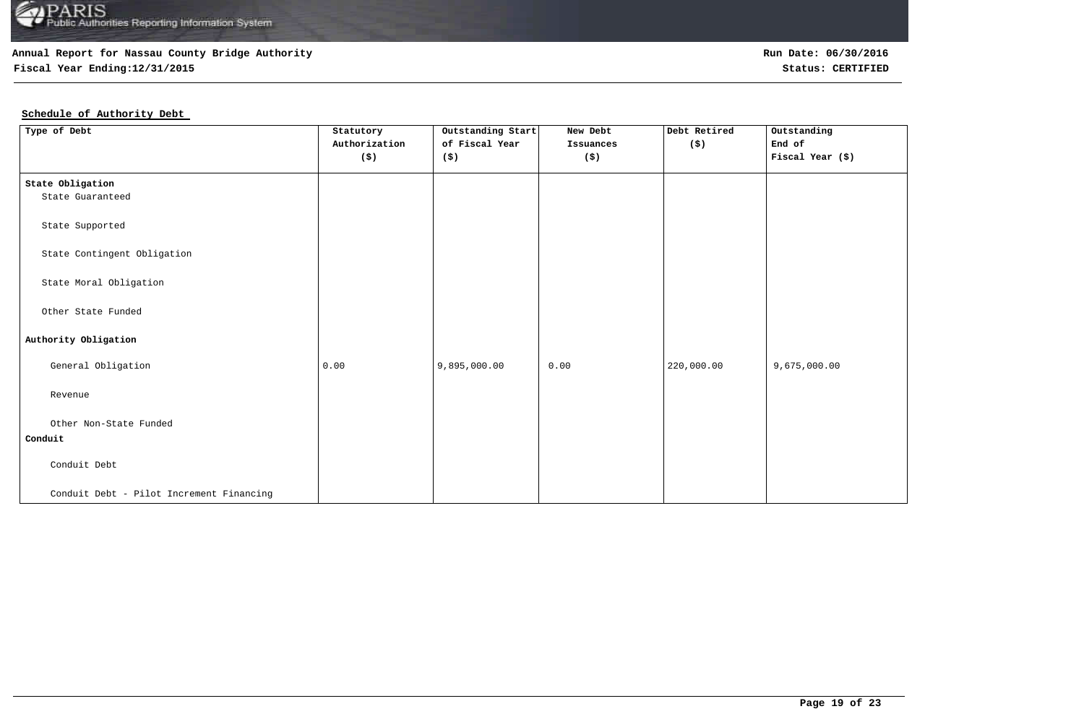## **Annual Report for Nassau County Bridge Authority**

**Fiscal Year Ending:12/31/2015 Status: CERTIFIED**

## **Schedule of Authority Debt**

| Type of Debt                             | Statutory                   | Outstanding Start | New Debt  | Debt Retired | Outstanding      |
|------------------------------------------|-----------------------------|-------------------|-----------|--------------|------------------|
|                                          | Authorization               | of Fiscal Year    | Issuances | (\$)         | End of           |
|                                          | $(\boldsymbol{\mathsf{S}})$ | (\$)              | (\$)      |              | Fiscal Year (\$) |
| State Obligation                         |                             |                   |           |              |                  |
| State Guaranteed                         |                             |                   |           |              |                  |
| State Supported                          |                             |                   |           |              |                  |
| State Contingent Obligation              |                             |                   |           |              |                  |
| State Moral Obligation                   |                             |                   |           |              |                  |
| Other State Funded                       |                             |                   |           |              |                  |
| Authority Obligation                     |                             |                   |           |              |                  |
| General Obligation                       | 0.00                        | 9,895,000.00      | 0.00      | 220,000.00   | 9,675,000.00     |
| Revenue                                  |                             |                   |           |              |                  |
| Other Non-State Funded                   |                             |                   |           |              |                  |
| Conduit                                  |                             |                   |           |              |                  |
| Conduit Debt                             |                             |                   |           |              |                  |
| Conduit Debt - Pilot Increment Financing |                             |                   |           |              |                  |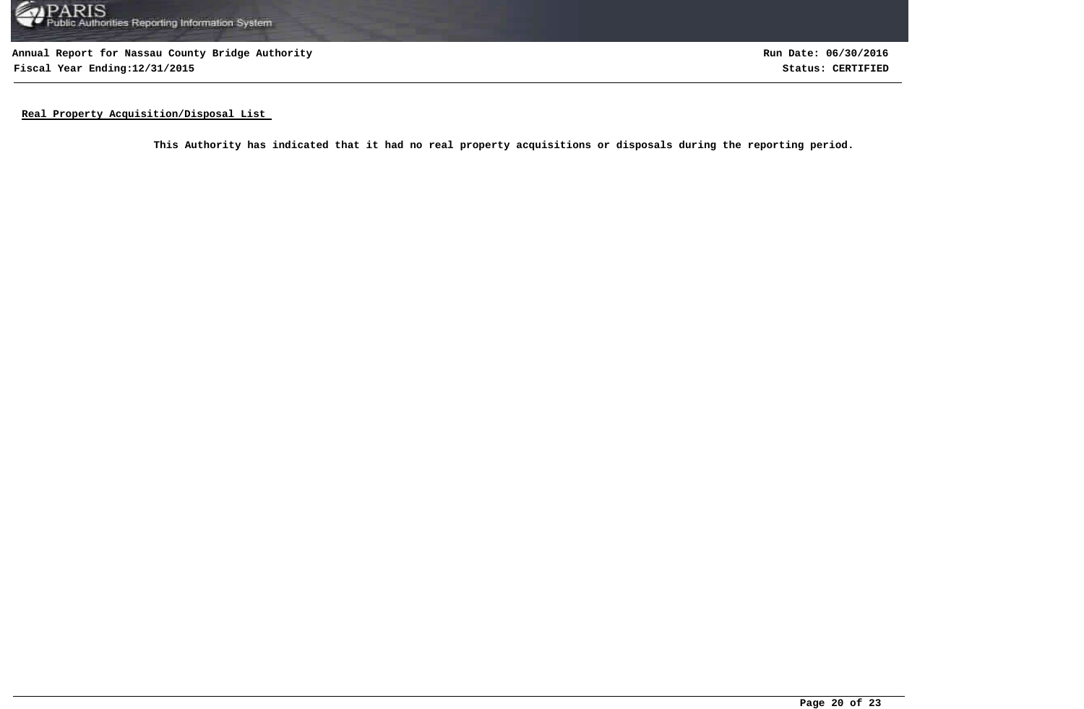

**Annual Report for Nassau County Bridge Authority Fiscal Year Ending:12/31/2015 Status: CERTIFIED**

**Run Date: 06/30/2016**

**Real Property Acquisition/Disposal List** 

**This Authority has indicated that it had no real property acquisitions or disposals during the reporting period.**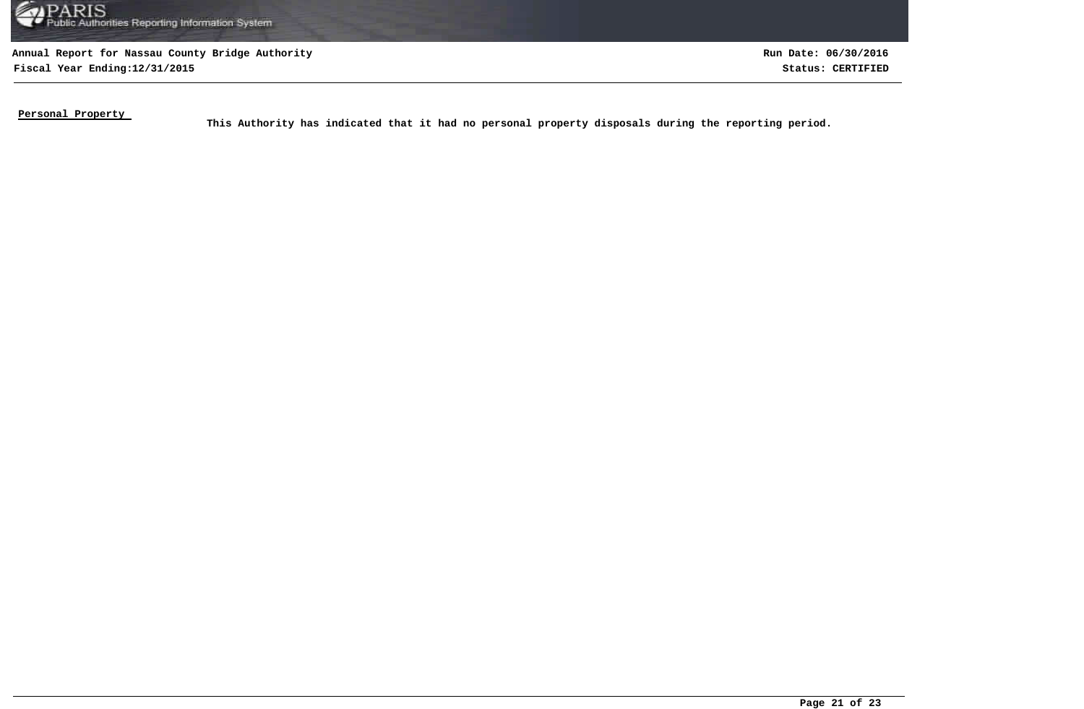

**Fiscal Year Ending:12/31/2015 Status: CERTIFIED Run Date: 06/30/2016**

**Personal Property** 

This Authority has indicated that it had no personal property disposals during the reporting period.<br>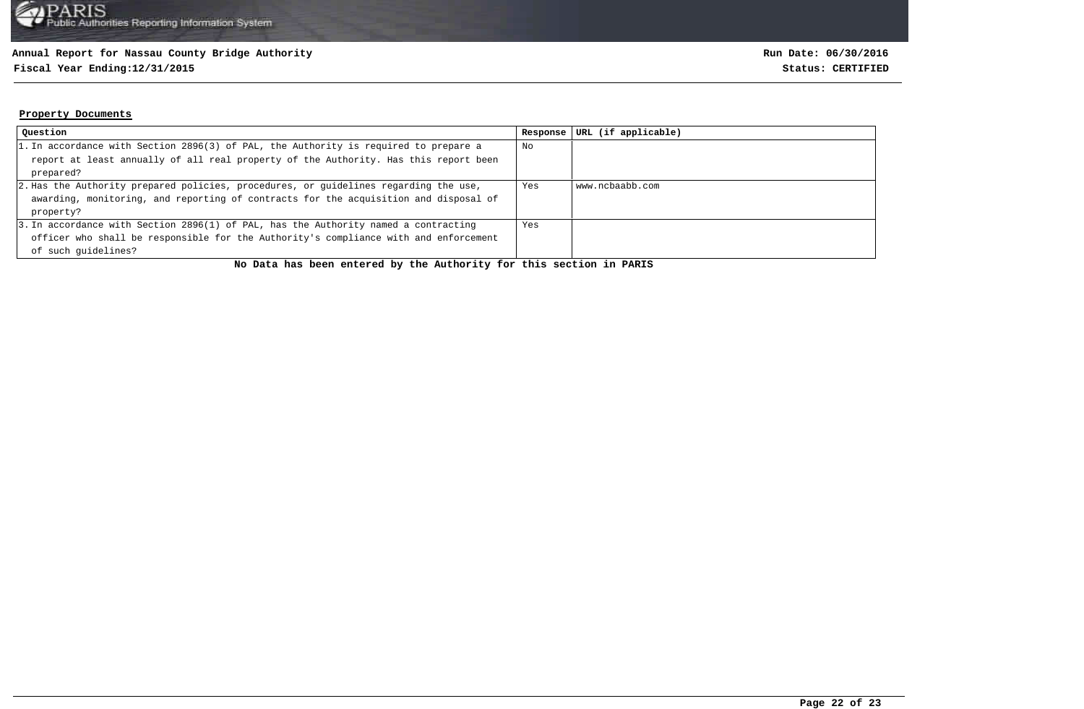## **Annual Report for Nassau County Bridge Authority**

## **Fiscal Year Ending:12/31/2015 Status: CERTIFIED**

### **Property Documents**

| Question                                                                             | Response | URL (if applicable) |
|--------------------------------------------------------------------------------------|----------|---------------------|
| 1. In accordance with Section 2896(3) of PAL, the Authority is required to prepare a | No       |                     |
| report at least annually of all real property of the Authority. Has this report been |          |                     |
| prepared?                                                                            |          |                     |
| 2. Has the Authority prepared policies, procedures, or guidelines regarding the use, | Yes      | www.ncbaabb.com     |
| awarding, monitoring, and reporting of contracts for the acquisition and disposal of |          |                     |
| property?                                                                            |          |                     |
| 3. In accordance with Section 2896(1) of PAL, has the Authority named a contracting  | Yes      |                     |
| officer who shall be responsible for the Authority's compliance with and enforcement |          |                     |
| of such quidelines?                                                                  |          |                     |

**No Data has been entered by the Authority for this section in PARIS**